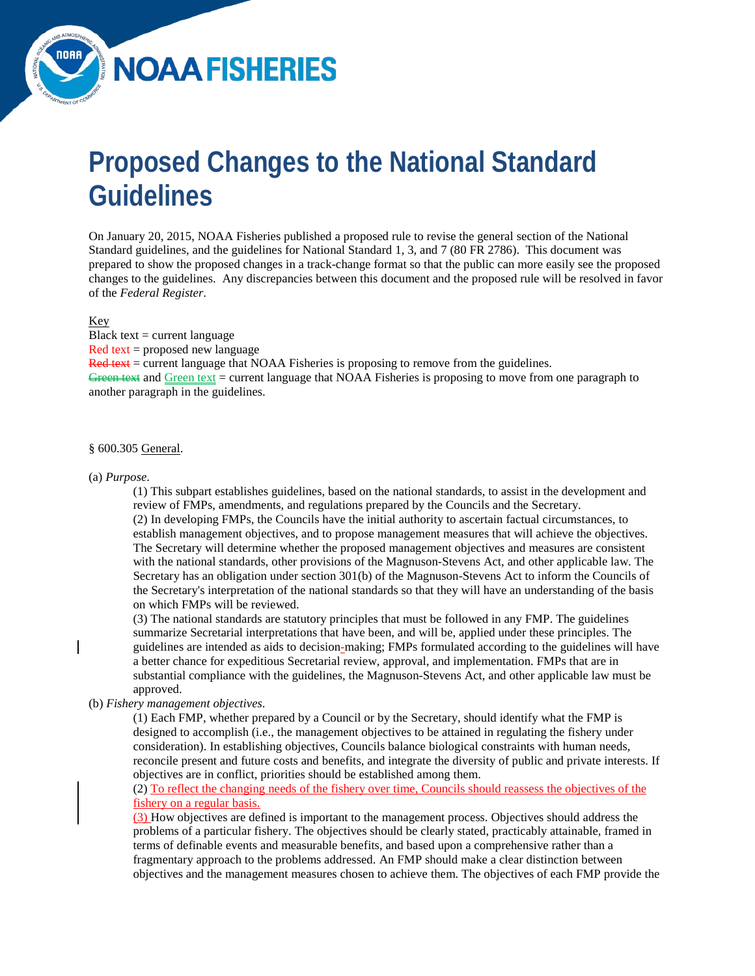# **Proposed Changes to the National Standard Guidelines**

**NOAA FISHERIES** 

On January 20, 2015, NOAA Fisheries published a proposed rule to revise the general section of the National Standard guidelines, and the guidelines for National Standard 1, 3, and 7 (80 FR 2786). This document was prepared to show the proposed changes in a track-change format so that the public can more easily see the proposed changes to the guidelines. Any discrepancies between this document and the proposed rule will be resolved in favor of the *Federal Register*.

## Key

Black text  $=$  current language Red text = proposed new language  $Red$  text = current language that NOAA Fisheries is proposing to remove from the guidelines. Green text and Green text = current language that NOAA Fisheries is proposing to move from one paragraph to another paragraph in the guidelines.

#### § 600.305 General.

#### (a) *Purpose*.

(1) This subpart establishes guidelines, based on the national standards, to assist in the development and review of FMPs, amendments, and regulations prepared by the Councils and the Secretary. (2) In developing FMPs, the Councils have the initial authority to ascertain factual circumstances, to establish management objectives, and to propose management measures that will achieve the objectives. The Secretary will determine whether the proposed management objectives and measures are consistent with the national standards, other provisions of the Magnuson-Stevens Act, and other applicable law. The Secretary has an obligation under section 301(b) of the Magnuson-Stevens Act to inform the Councils of the Secretary's interpretation of the national standards so that they will have an understanding of the basis on which FMPs will be reviewed.

(3) The national standards are statutory principles that must be followed in any FMP. The guidelines summarize Secretarial interpretations that have been, and will be, applied under these principles. The guidelines are intended as aids to decision-making; FMPs formulated according to the guidelines will have a better chance for expeditious Secretarial review, approval, and implementation. FMPs that are in substantial compliance with the guidelines, the Magnuson-Stevens Act, and other applicable law must be approved.

# (b) *Fishery management objectives*.

(1) Each FMP, whether prepared by a Council or by the Secretary, should identify what the FMP is designed to accomplish (i.e., the management objectives to be attained in regulating the fishery under consideration). In establishing objectives, Councils balance biological constraints with human needs, reconcile present and future costs and benefits, and integrate the diversity of public and private interests. If objectives are in conflict, priorities should be established among them.

# (2) To reflect the changing needs of the fishery over time, Councils should reassess the objectives of the fishery on a regular basis.

(3) How objectives are defined is important to the management process. Objectives should address the problems of a particular fishery. The objectives should be clearly stated, practicably attainable, framed in terms of definable events and measurable benefits, and based upon a comprehensive rather than a fragmentary approach to the problems addressed. An FMP should make a clear distinction between objectives and the management measures chosen to achieve them. The objectives of each FMP provide the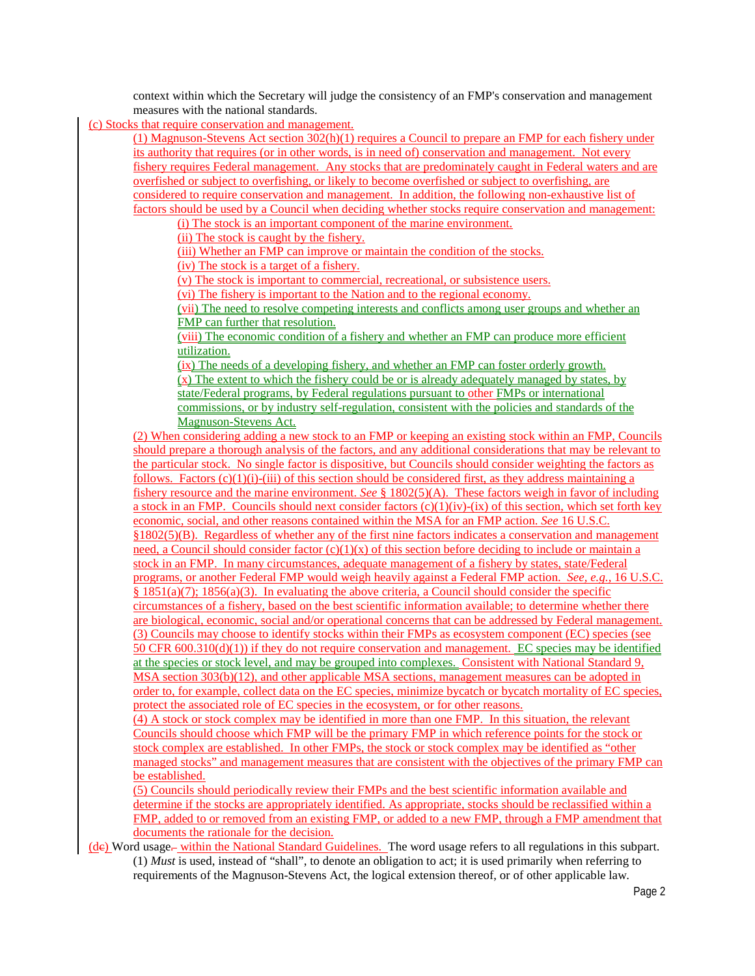context within which the Secretary will judge the consistency of an FMP's conservation and management measures with the national standards.

(c) Stocks that require conservation and management.

(1) Magnuson-Stevens Act section 302(h)(1) requires a Council to prepare an FMP for each fishery under its authority that requires (or in other words, is in need of) conservation and management. Not every fishery requires Federal management. Any stocks that are predominately caught in Federal waters and are overfished or subject to overfishing, or likely to become overfished or subject to overfishing, are considered to require conservation and management. In addition, the following non-exhaustive list of factors should be used by a Council when deciding whether stocks require conservation and management:

(i) The stock is an important component of the marine environment.

(ii) The stock is caught by the fishery.

(iii) Whether an FMP can improve or maintain the condition of the stocks.

(iv) The stock is a target of a fishery.

(v) The stock is important to commercial, recreational, or subsistence users.

(vi) The fishery is important to the Nation and to the regional economy.

(vii) The need to resolve competing interests and conflicts among user groups and whether an FMP can further that resolution.

(viii) The economic condition of a fishery and whether an FMP can produce more efficient utilization.

(ix) The needs of a developing fishery, and whether an FMP can foster orderly growth. (x) The extent to which the fishery could be or is already adequately managed by states, by state/Federal programs, by Federal regulations pursuant to other FMPs or international commissions, or by industry self-regulation, consistent with the policies and standards of the Magnuson-Stevens Act.

(2) When considering adding a new stock to an FMP or keeping an existing stock within an FMP, Councils should prepare a thorough analysis of the factors, and any additional considerations that may be relevant to the particular stock. No single factor is dispositive, but Councils should consider weighting the factors as follows. Factors  $(c)(1)(i)-(iii)$  of this section should be considered first, as they address maintaining a fishery resource and the marine environment. *See* § 1802(5)(A). These factors weigh in favor of including a stock in an FMP. Councils should next consider factors  $(c)(1)(iv)-(ix)$  of this section, which set forth key economic, social, and other reasons contained within the MSA for an FMP action. *See* 16 U.S.C. §1802(5)(B). Regardless of whether any of the first nine factors indicates a conservation and management need, a Council should consider factor  $(c)(1)(x)$  of this section before deciding to include or maintain a stock in an FMP. In many circumstances, adequate management of a fishery by states, state/Federal programs, or another Federal FMP would weigh heavily against a Federal FMP action. *See, e.g.*, 16 U.S.C. § 1851(a)(7); 1856(a)(3). In evaluating the above criteria, a Council should consider the specific circumstances of a fishery, based on the best scientific information available; to determine whether there are biological, economic, social and/or operational concerns that can be addressed by Federal management. (3) Councils may choose to identify stocks within their FMPs as ecosystem component (EC) species (see 50 CFR 600.310(d)(1)) if they do not require conservation and management. EC species may be identified at the species or stock level, and may be grouped into complexes. Consistent with National Standard 9, MSA section 303(b)(12), and other applicable MSA sections, management measures can be adopted in order to, for example, collect data on the EC species, minimize bycatch or bycatch mortality of EC species, protect the associated role of EC species in the ecosystem, or for other reasons.

(4) A stock or stock complex may be identified in more than one FMP. In this situation, the relevant Councils should choose which FMP will be the primary FMP in which reference points for the stock or stock complex are established. In other FMPs, the stock or stock complex may be identified as "other managed stocks" and management measures that are consistent with the objectives of the primary FMP can be established.

(5) Councils should periodically review their FMPs and the best scientific information available and determine if the stocks are appropriately identified. As appropriate, stocks should be reclassified within a FMP, added to or removed from an existing FMP, or added to a new FMP, through a FMP amendment that documents the rationale for the decision.

(dc) Word usage*.* within the National Standard Guidelines. The word usage refers to all regulations in this subpart. (1) *Must* is used, instead of "shall", to denote an obligation to act; it is used primarily when referring to requirements of the Magnuson-Stevens Act, the logical extension thereof, or of other applicable law.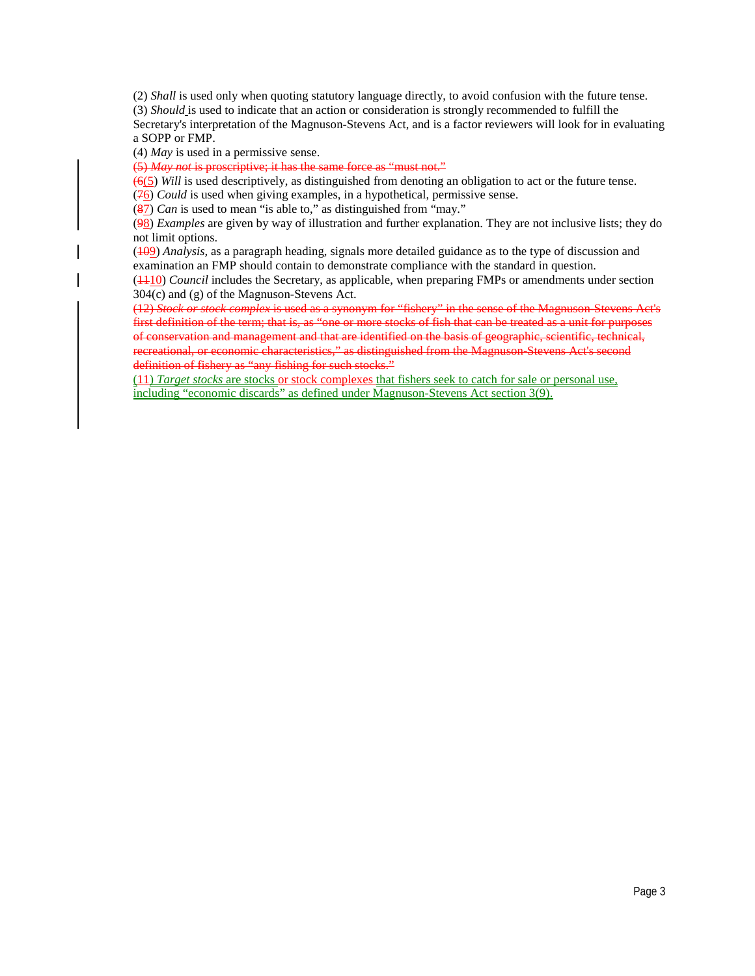(2) *Shall* is used only when quoting statutory language directly, to avoid confusion with the future tense. (3) *Should* is used to indicate that an action or consideration is strongly recommended to fulfill the Secretary's interpretation of the Magnuson-Stevens Act, and is a factor reviewers will look for in evaluating a SOPP or FMP.

(4) *May* is used in a permissive sense.

(5) *May not* is proscriptive; it has the same force as "must not."

(6(5) *Will* is used descriptively, as distinguished from denoting an obligation to act or the future tense. (76) *Could* is used when giving examples, in a hypothetical, permissive sense.

(87) *Can* is used to mean "is able to," as distinguished from "may."

(98) *Examples* are given by way of illustration and further explanation. They are not inclusive lists; they do not limit options.

(109) *Analysis,* as a paragraph heading, signals more detailed guidance as to the type of discussion and examination an FMP should contain to demonstrate compliance with the standard in question.

(1110) *Council* includes the Secretary, as applicable, when preparing FMPs or amendments under section 304(c) and (g) of the Magnuson-Stevens Act.

(12) *Stock or stock complex* is used as a synonym for "fishery" in the sense of the Magnuson-Stevens Act's first definition of the term; that is, as "one or more stocks of fish that can be treated as a unit for purposes of conservation and management and that are identified on the basis of geographic, scientific, technical, recreational, or economic characteristics," as distinguished from the Magnuson Stevens Act's second definition of fishery as "any fishing for such stocks."

(11) *Target stocks* are stocks or stock complexes that fishers seek to catch for sale or personal use, including "economic discards" as defined under Magnuson-Stevens Act section 3(9).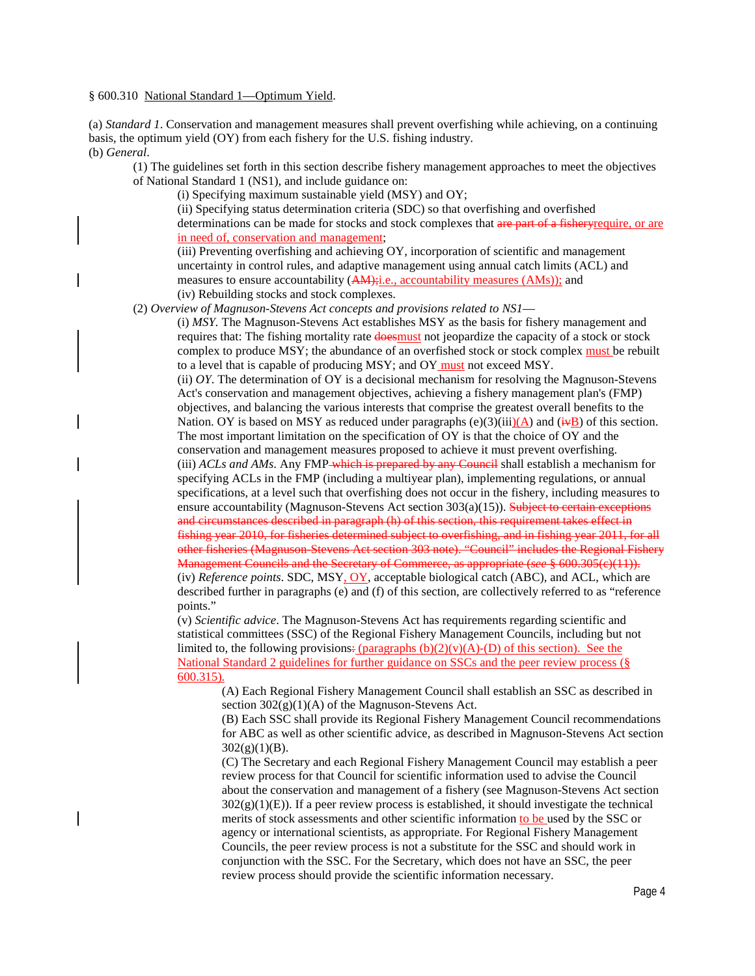§ 600.310 National Standard 1—Optimum Yield.

(a) *Standard 1*. Conservation and management measures shall prevent overfishing while achieving, on a continuing basis, the optimum yield (OY) from each fishery for the U.S. fishing industry. (b) *General*.

(1) The guidelines set forth in this section describe fishery management approaches to meet the objectives of National Standard 1 (NS1), and include guidance on:

(i) Specifying maximum sustainable yield (MSY) and OY;

(ii) Specifying status determination criteria (SDC) so that overfishing and overfished determinations can be made for stocks and stock complexes that are part of a fishery require, or are in need of, conservation and management;

(iii) Preventing overfishing and achieving OY, incorporation of scientific and management uncertainty in control rules, and adaptive management using annual catch limits (ACL) and measures to ensure accountability  $(AM)$ ; i.e., accountability measures  $(AMS)$ ; and

(iv) Rebuilding stocks and stock complexes.

(2) *Overview of Magnuson-Stevens Act concepts and provisions related to NS1*—

(i) *MSY.* The Magnuson-Stevens Act establishes MSY as the basis for fishery management and requires that: The fishing mortality rate **doesmust** not jeopardize the capacity of a stock or stock complex to produce MSY; the abundance of an overfished stock or stock complex must be rebuilt to a level that is capable of producing MSY; and OY must not exceed MSY.

(ii) *OY*. The determination of OY is a decisional mechanism for resolving the Magnuson-Stevens Act's conservation and management objectives, achieving a fishery management plan's (FMP) objectives, and balancing the various interests that comprise the greatest overall benefits to the Nation. OY is based on MSY as reduced under paragraphs (e)(3)(iii)(A) and ( $\ddot{\textbf{w}}$ B) of this section. The most important limitation on the specification of OY is that the choice of OY and the conservation and management measures proposed to achieve it must prevent overfishing. (iii) *ACLs and AMs*. Any FMP which is prepared by any Council shall establish a mechanism for specifying ACLs in the FMP (including a multiyear plan), implementing regulations, or annual specifications, at a level such that overfishing does not occur in the fishery, including measures to ensure accountability (Magnuson-Stevens Act section  $303(a)(15)$ ). Subject to certain exceptions and circumstances described in paragraph (h) of this section, this requirement takes effect in fishing year 2010, for fisheries determined subject to overfishing, and in fishing year 2011, for all other fisheries (Magnuson-Stevens Act section 303 note). "Council" includes the Regional Fishery Management Councils and the Secretary of Commerce, as appropriate (*see* § 600.305(c)(11)). (iv) *Reference points*. SDC, MSY, OY, acceptable biological catch (ABC), and ACL, which are described further in paragraphs (e) and (f) of this section, are collectively referred to as "reference

points." (v) *Scientific advice*. The Magnuson-Stevens Act has requirements regarding scientific and statistical committees (SSC) of the Regional Fishery Management Councils, including but not limited to, the following provisions:  $(\text{paragnhs (b)(2)(v)(A)-(D) of this section}).$  See the National Standard 2 guidelines for further guidance on SSCs and the peer review process (§ 600.315).

(A) Each Regional Fishery Management Council shall establish an SSC as described in section  $302(g)(1)(A)$  of the Magnuson-Stevens Act.

(B) Each SSC shall provide its Regional Fishery Management Council recommendations for ABC as well as other scientific advice, as described in Magnuson-Stevens Act section  $302(g)(1)(B)$ .

(C) The Secretary and each Regional Fishery Management Council may establish a peer review process for that Council for scientific information used to advise the Council about the conservation and management of a fishery (see Magnuson-Stevens Act section  $302(g)(1)(E)$ ). If a peer review process is established, it should investigate the technical merits of stock assessments and other scientific information to be used by the SSC or agency or international scientists, as appropriate. For Regional Fishery Management Councils, the peer review process is not a substitute for the SSC and should work in conjunction with the SSC. For the Secretary, which does not have an SSC, the peer review process should provide the scientific information necessary.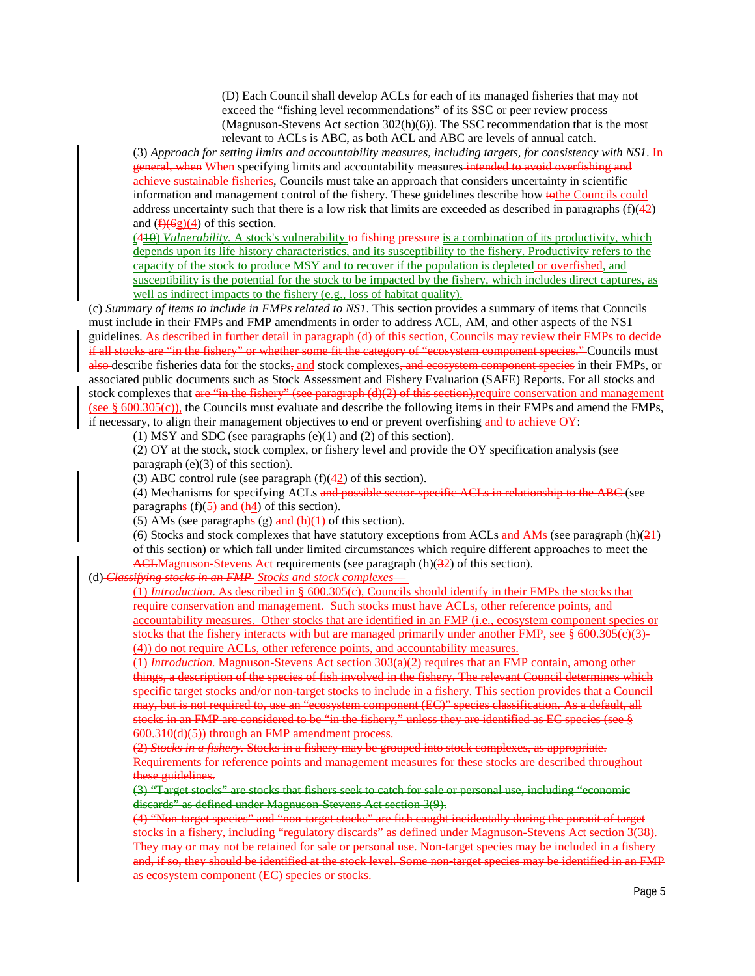(D) Each Council shall develop ACLs for each of its managed fisheries that may not exceed the "fishing level recommendations" of its SSC or peer review process (Magnuson-Stevens Act section 302(h)(6)). The SSC recommendation that is the most relevant to ACLs is ABC, as both ACL and ABC are levels of annual catch.

(3) *Approach for setting limits and accountability measures, including targets, for consistency with NS1*. In general, when When specifying limits and accountability measures intended to avoid overfishing and achieve sustainable fisheries, Councils must take an approach that considers uncertainty in scientific information and management control of the fishery. These guidelines describe how to the Councils could address uncertainty such that there is a low risk that limits are exceeded as described in paragraphs  $(f)(42)$ and  $(f)(6g)(4)$  of this section.

(410) *Vulnerability.* A stock's vulnerability to fishing pressure is a combination of its productivity, which depends upon its life history characteristics, and its susceptibility to the fishery. Productivity refers to the capacity of the stock to produce MSY and to recover if the population is depleted or overfished, and susceptibility is the potential for the stock to be impacted by the fishery, which includes direct captures, as well as indirect impacts to the fishery (e.g., loss of habitat quality).

(c) *Summary of items to include in FMPs related to NS1*. This section provides a summary of items that Councils must include in their FMPs and FMP amendments in order to address ACL, AM, and other aspects of the NS1 guidelines. As described in further detail in paragraph (d) of this section, Councils may review their FMPs to decide if all stocks are "in the fishery" or whether some fit the category of "ecosystem component species." Councils must also describe fisheries data for the stocks, and stock complexes, and ecosystem component species in their FMPs, or associated public documents such as Stock Assessment and Fishery Evaluation (SAFE) Reports. For all stocks and stock complexes that are "in the fishery" (see paragraph (d)(2) of this section), require conservation and management (see  $\S$  600.305(c)), the Councils must evaluate and describe the following items in their FMPs and amend the FMPs, if necessary, to align their management objectives to end or prevent overfishing and to achieve OY:

(1) MSY and SDC (see paragraphs (e)(1) and (2) of this section).

(2) OY at the stock, stock complex, or fishery level and provide the OY specification analysis (see paragraph (e)(3) of this section).

(3) ABC control rule (see paragraph  $(f)(42)$  of this section).

(4) Mechanisms for specifying ACLs and possible sector-specific ACLs in relationship to the ABC (see paragraphs  $(f)(\frac{5}{9})$  and  $(h4)$  of this section).

(5) AMs (see paragraphs (g) and  $(h)(1)$  of this section).

(6) Stocks and stock complexes that have statutory exceptions from ACLs and AMs (see paragraph  $(h)(21)$ ) of this section) or which fall under limited circumstances which require different approaches to meet the ACLMagnuson-Stevens Act requirements (see paragraph (h)(32) of this section).

(d) *Classifying stocks in an FMP Stocks and stock complexes*—

(1) *Introduction*. As described in § 600.305(c), Councils should identify in their FMPs the stocks that require conservation and management. Such stocks must have ACLs, other reference points, and accountability measures. Other stocks that are identified in an FMP (i.e., ecosystem component species or stocks that the fishery interacts with but are managed primarily under another FMP, see  $\S$  600.305(c)(3)-(4)) do not require ACLs, other reference points, and accountability measures.

(1) *Introduction.* Magnuson-Stevens Act section 303(a)(2) requires that an FMP contain, among other things, a description of the species of fish involved in the fishery. The relevant Council determines which specific target stocks and/or non-target stocks to include in a fishery. This section provides that a Council may, but is not required to, use an "ecosystem component (EC)" species classification. As a default, all stocks in an FMP are considered to be "in the fishery," unless they are identified as EC species (see § 600.310(d)(5)) through an FMP amendment process.

(2) *Stocks in a fishery.* Stocks in a fishery may be grouped into stock complexes, as appropriate. Requirements for reference points and management measures for these stocks are described throughout these guidelines.

(3) "Target stocks" are stocks that fishers seek to catch for sale or personal use, including "economic discards" as defined under Magnuson-Stevens Act section 3(9).

(4) "Non-target species" and "non-target stocks" are fish caught incidentally during the pursuit of target stocks in a fishery, including "regulatory discards" as defined under Magnuson-Stevens Act section 3(38). They may or may not be retained for sale or personal use. Non-target species may be included in a fishery and, if so, they should be identified at the stock level. Some non-target species may be identified in an FMP as ecosystem component (EC) species or stocks.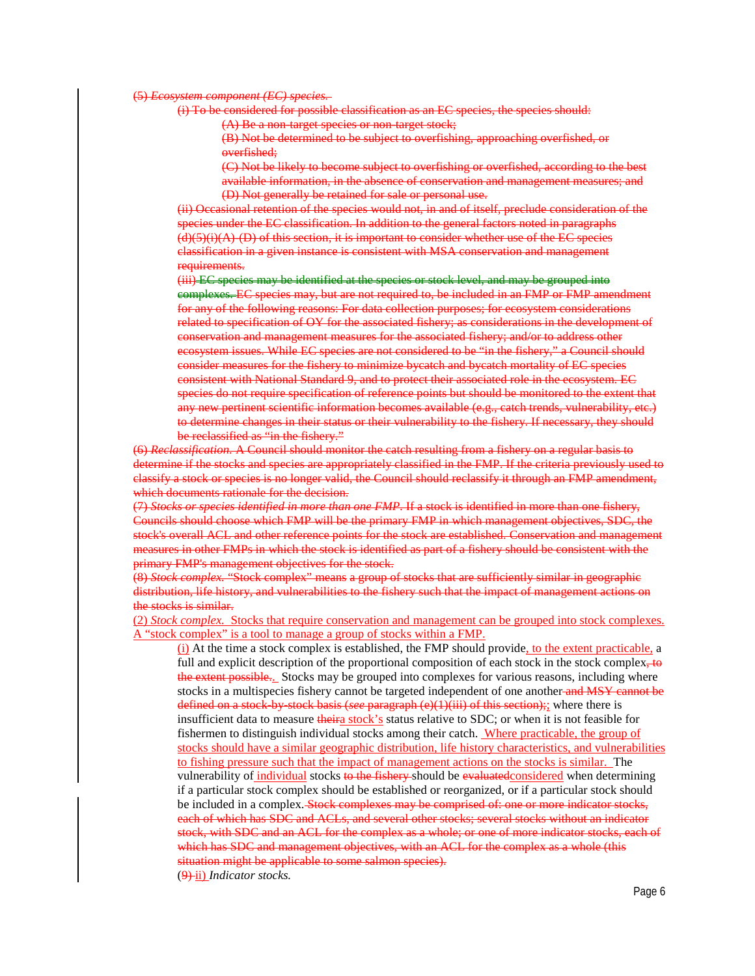#### (5) *Ecosystem component (EC) species.*

(i) To be considered for possible classification as an EC species, the species should:

(A) Be a non-target species or non-target stock;

(B) Not be determined to be subject to overfishing, approaching overfished, or overfished;

(C) Not be likely to become subject to overfishing or overfished, according to the best available information, in the absence of conservation and management measures; and (D) Not generally be retained for sale or personal use.

(ii) Occasional retention of the species would not, in and of itself, preclude consideration of the species under the EC classification. In addition to the general factors noted in paragraphs  $(d)(5)(i)(A)$ - $(D)$  of this section, it is important to consider whether use of the EC species classification in a given instance is consistent with MSA conservation and management requirements.

(iii) EC species may be identified at the species or stock level, and may be grouped into complexes. EC species may, but are not required to, be included in an FMP or FMP amendment for any of the following reasons: For data collection purposes; for ecosystem considerations related to specification of OY for the associated fishery; as considerations in the development of conservation and management measures for the associated fishery; and/or to address other ecosystem issues. While EC species are not considered to be "in the fishery," a Council should consider measures for the fishery to minimize bycatch and bycatch mortality of EC species consistent with National Standard 9, and to protect their associated role in the ecosystem. EC species do not require specification of reference points but should be monitored to the extent that any new pertinent scientific information becomes available (e.g., catch trends, vulnerability, etc.) to determine changes in their status or their vulnerability to the fishery. If necessary, they should be reclassified as "in the fishery."

(6) *Reclassification.* A Council should monitor the catch resulting from a fishery on a regular basis to determine if the stocks and species are appropriately classified in the FMP. If the criteria previously used to classify a stock or species is no longer valid, the Council should reclassify it through an FMP amendment, which documents rationale for the decision.

(7) *Stocks or species identified in more than one FMP.* If a stock is identified in more than one fishery, Councils should choose which FMP will be the primary FMP in which management objectives, SDC, the stock's overall ACL and other reference points for the stock are established. Conservation and management measures in other FMPs in which the stock is identified as part of a fishery should be consistent with the primary FMP's management objectives for the stock.

(8) *Stock complex.* "Stock complex" means a group of stocks that are sufficiently similar in geographic distribution, life history, and vulnerabilities to the fishery such that the impact of management actions on the stocks is similar.

(2) *Stock complex.* Stocks that require conservation and management can be grouped into stock complexes. A "stock complex" is a tool to manage a group of stocks within a FMP.

(i) At the time a stock complex is established, the FMP should provide, to the extent practicable, a full and explicit description of the proportional composition of each stock in the stock complex, to the extent possible... Stocks may be grouped into complexes for various reasons, including where stocks in a multispecies fishery cannot be targeted independent of one another and MSY cannot be defined on a stock-by-stock basis (*see* paragraph (e)(1)(iii) of this section);; where there is insufficient data to measure *theira stock's* status relative to SDC; or when it is not feasible for fishermen to distinguish individual stocks among their catch. Where practicable, the group of stocks should have a similar geographic distribution, life history characteristics, and vulnerabilities to fishing pressure such that the impact of management actions on the stocks is similar. The vulnerability of *individual* stocks to the fishery should be evaluated considered when determining if a particular stock complex should be established or reorganized, or if a particular stock should be included in a complex. Stock complexes may be comprised of: one or more indicator stocks, each of which has SDC and ACLs, and several other stocks; several stocks without an indicator stock, with SDC and an ACL for the complex as a whole; or one of more indicator stocks, each of which has SDC and management objectives, with an ACL for the complex as a whole (this situation might be applicable to some salmon species). (9) ii) *Indicator stocks.*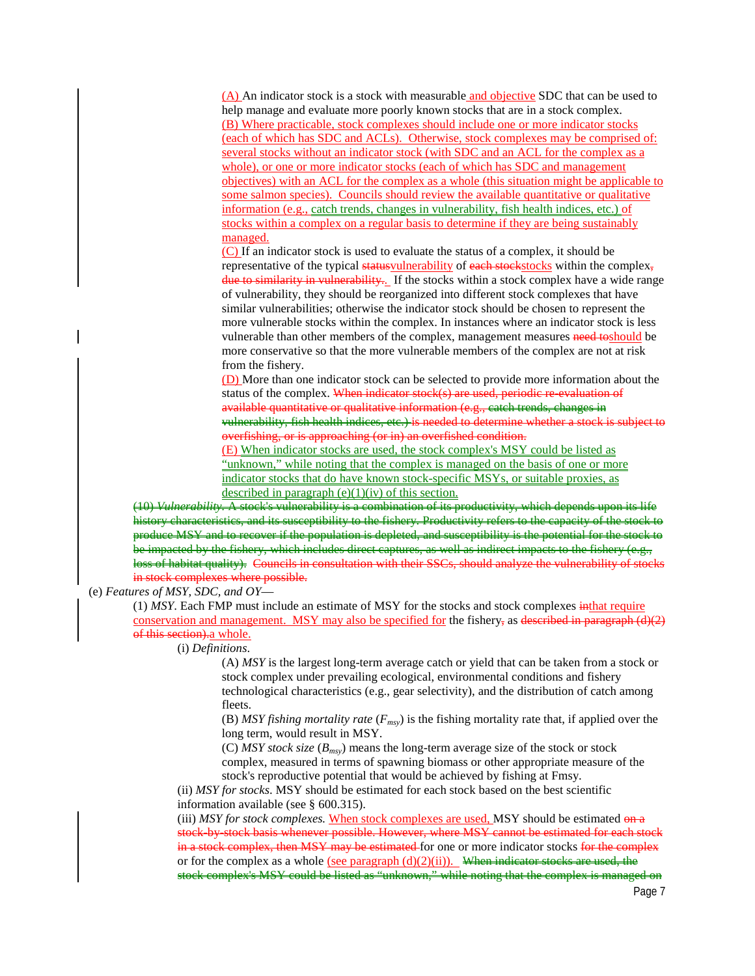(A) An indicator stock is a stock with measurable and objective SDC that can be used to help manage and evaluate more poorly known stocks that are in a stock complex. (B) Where practicable, stock complexes should include one or more indicator stocks (each of which has SDC and ACLs). Otherwise, stock complexes may be comprised of: several stocks without an indicator stock (with SDC and an ACL for the complex as a whole), or one or more indicator stocks (each of which has SDC and management objectives) with an ACL for the complex as a whole (this situation might be applicable to some salmon species). Councils should review the available quantitative or qualitative information (e.g., catch trends, changes in vulnerability, fish health indices, etc.) of stocks within a complex on a regular basis to determine if they are being sustainably managed.

(C) If an indicator stock is used to evaluate the status of a complex, it should be representative of the typical status vulnerability of each stockstocks within the complex, due to similarity in vulnerability. If the stocks within a stock complex have a wide range of vulnerability, they should be reorganized into different stock complexes that have similar vulnerabilities; otherwise the indicator stock should be chosen to represent the more vulnerable stocks within the complex. In instances where an indicator stock is less vulnerable than other members of the complex, management measures need toshould be more conservative so that the more vulnerable members of the complex are not at risk from the fishery.

(D) More than one indicator stock can be selected to provide more information about the status of the complex. When indicator stock(s) are used, periodic re-evaluation of available quantitative or qualitative information (e.g., catch trends, changes in vulnerability, fish health indices, etc.) is needed to determine whether a stock is subject to overfishing, or is approaching (or in) an overfished condition.

(E) When indicator stocks are used, the stock complex's MSY could be listed as "unknown," while noting that the complex is managed on the basis of one or more indicator stocks that do have known stock-specific MSYs, or suitable proxies, as described in paragraph  $(e)(1)(iv)$  of this section.

(10) *Vulnerability.* A stock's vulnerability is a combination of its productivity, which depends upon its life history characteristics, and its susceptibility to the fishery. Productivity refers to the capacity of the stock produce MSY and to recover if the population is depleted, and susceptibility is the potential for the stock to be impacted by the fishery, which includes direct captures, as well as indirect impacts to the fishery (e.g., loss of habitat quality). Councils in consultation with their SSCs, should analyze the vulnerability of stocks in stock complexes where possible.

#### (e) *Features of MSY, SDC, and OY*—

(1) *MSY*. Each FMP must include an estimate of MSY for the stocks and stock complexes inthat require conservation and management. MSY may also be specified for the fishery, as described in paragraph  $(d)(2)$ of this section). a whole.

(i) *Definitions*.

(A) *MSY* is the largest long-term average catch or yield that can be taken from a stock or stock complex under prevailing ecological, environmental conditions and fishery technological characteristics (e.g., gear selectivity), and the distribution of catch among fleets.

(B) *MSY fishing mortality rate* (*Fmsy*) is the fishing mortality rate that, if applied over the long term, would result in MSY.

(C) *MSY stock size* (*Bmsy*) means the long-term average size of the stock or stock complex, measured in terms of spawning biomass or other appropriate measure of the stock's reproductive potential that would be achieved by fishing at Fmsy.

(ii) *MSY for stocks*. MSY should be estimated for each stock based on the best scientific information available (see § [600.315\)](http://www.law.cornell.edu/cfr/text/50/600.315).

(iii) *MSY for stock complexes.* When stock complexes are used, MSY should be estimated on a stock-by-stock basis whenever possible. However, where MSY cannot be estimated for each stock in a stock complex, then MSY may be estimated for one or more indicator stocks for the complex or for the complex as a whole (see paragraph  $(d)(2)(ii)$ ). When indicator stocks are used, the stock complex's MSY could be listed as "unknown," while noting that the complex is managed on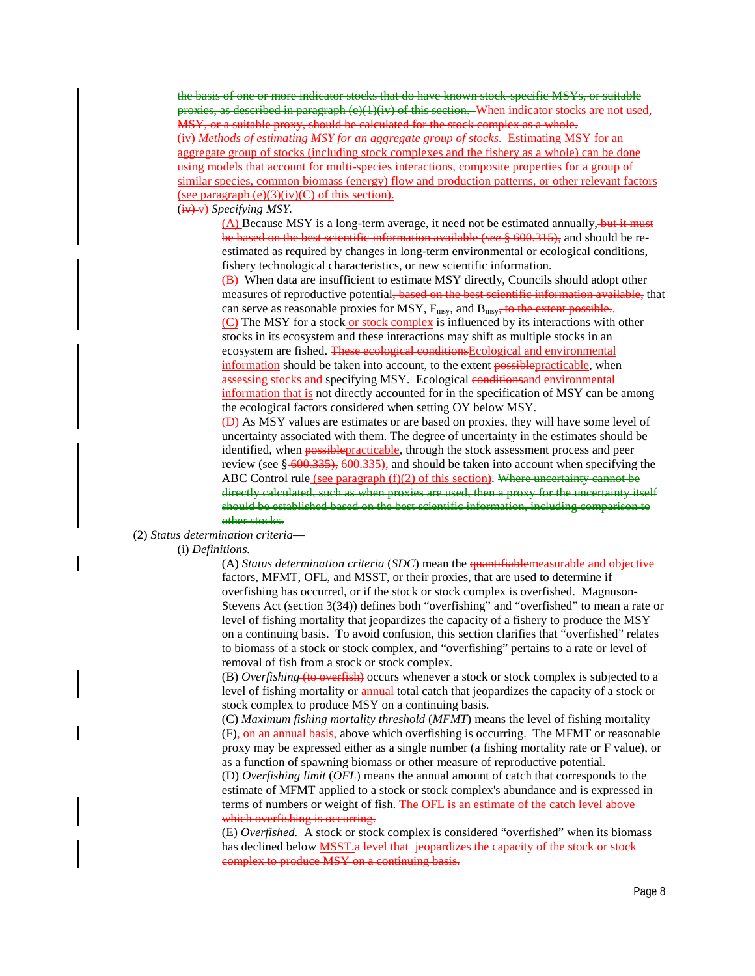the basis of one or more indicator stocks that do have known stock-specific MSYs, or suitable proxies, as described in paragraph (e)(1)(iv) of this section. When indicator stocks are not used. MSY, or a suitable proxy, should be calculated for the stock complex as a whole. (iv) *Methods of estimating MSY for an aggregate group of stocks*. Estimating MSY for an aggregate group of stocks (including stock complexes and the fishery as a whole) can be done using models that account for multi-species interactions, composite properties for a group of similar species, common biomass (energy) flow and production patterns, or other relevant factors (see paragraph  $(e)(3)(iv)(C)$  of this section).

# (iv) v) *Specifying MSY.*

(A) Because MSY is a long-term average, it need not be estimated annually, but it must be based on the best scientific information available (*see* § 600.315), and should be reestimated as required by changes in long-term environmental or ecological conditions, fishery technological characteristics, or new scientific information.

(B) When data are insufficient to estimate MSY directly, Councils should adopt other measures of reproductive potential, based on the best scientific information available, that can serve as reasonable proxies for MSY,  $F_{\text{msy}}$ , and  $B_{\text{msy}}$ , to the extent possible.. (C) The MSY for a stock or stock complex is influenced by its interactions with other stocks in its ecosystem and these interactions may shift as multiple stocks in an ecosystem are fished. These ecological conditionsEcological and environmental information should be taken into account, to the extent **possible practicable**, when assessing stocks and specifying MSY. Ecological conditions and environmental information that is not directly accounted for in the specification of MSY can be among the ecological factors considered when setting OY below MSY.

(D) As MSY values are estimates or are based on proxies, they will have some level of uncertainty associated with them. The degree of uncertainty in the estimates should be identified, when **possible practicable**, through the stock assessment process and peer review (see  $\frac{600.335}{600.335}$ , [600.335\)](http://www.law.cornell.edu/cfr/text/50/600.335), and should be taken into account when specifying the ABC Control rule (see paragraph  $(f)(2)$  of this section). Where uncertainty cannot be directly calculated, such as when proxies are used, then a proxy for the uncertainty itself should be established based on the best scientific information, including comparison to other stocks.

(2) *Status determination criteria*—

(i) *Definitions.*

(A) *Status determination criteria* (*SDC*) mean the quantifiablemeasurable and objective factors, MFMT, OFL, and MSST, or their proxies, that are used to determine if overfishing has occurred, or if the stock or stock complex is overfished. Magnuson-Stevens Act (section 3(34)) defines both "overfishing" and "overfished" to mean a rate or level of fishing mortality that jeopardizes the capacity of a fishery to produce the MSY on a continuing basis. To avoid confusion, this section clarifies that "overfished" relates to biomass of a stock or stock complex, and "overfishing" pertains to a rate or level of removal of fish from a stock or stock complex.

(B) *Overfishing* (to overfish) occurs whenever a stock or stock complex is subjected to a level of fishing mortality or annual total catch that jeopardizes the capacity of a stock or stock complex to produce MSY on a continuing basis.

(C) *Maximum fishing mortality threshold* (*MFMT*) means the level of fishing mortality (F), on an annual basis, above which overfishing is occurring. The MFMT or reasonable proxy may be expressed either as a single number (a fishing mortality rate or F value), or as a function of spawning biomass or other measure of reproductive potential.

(D) *Overfishing limit* (*OFL*) means the annual amount of catch that corresponds to the estimate of MFMT applied to a stock or stock complex's abundance and is expressed in terms of numbers or weight of fish. The OFL is an estimate of the catch level above which overfishing is occurring.

(E) *Overfished.* A stock or stock complex is considered "overfished" when its biomass has declined below **MSST**. a level that jeopardizes the capacity of the stock or stock complex to produce MSY on a continuing basis.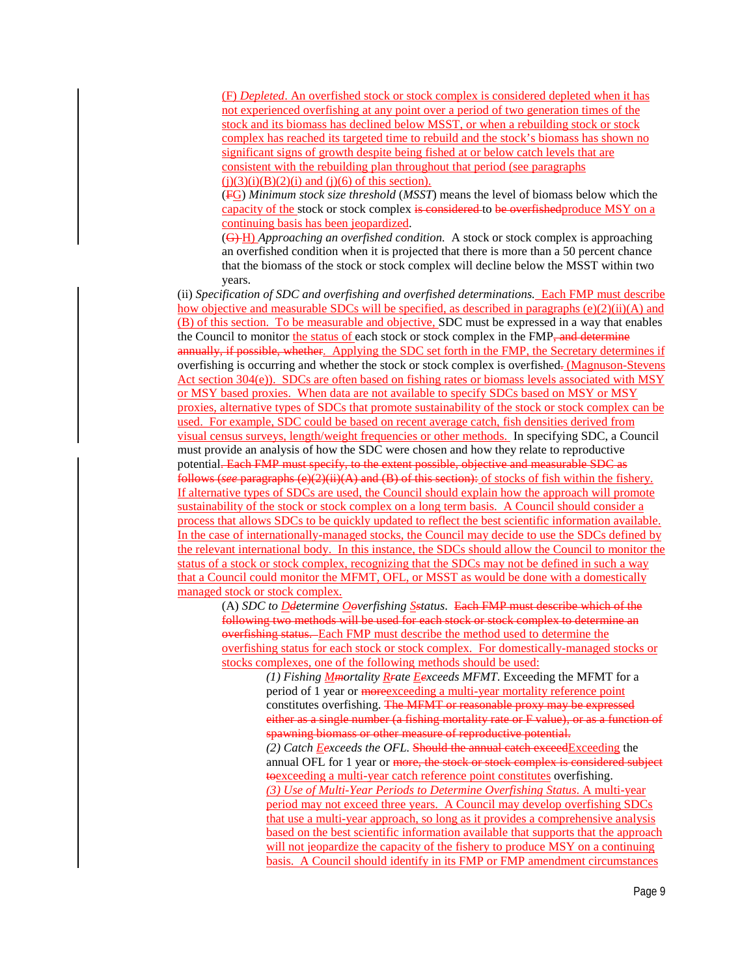(F) *Depleted*. An overfished stock or stock complex is considered depleted when it has not experienced overfishing at any point over a period of two generation times of the stock and its biomass has declined below MSST, or when a rebuilding stock or stock complex has reached its targeted time to rebuild and the stock's biomass has shown no significant signs of growth despite being fished at or below catch levels that are consistent with the rebuilding plan throughout that period (see paragraphs  $(i)(3)(i)(B)(2)(i)$  and  $(i)(6)$  of this section).

(FG) *Minimum stock size threshold* (*MSST*) means the level of biomass below which the capacity of the stock or stock complex is considered to be overfished produce MSY on a continuing basis has been jeopardized.

(G) H) *Approaching an overfished condition.* A stock or stock complex is approaching an overfished condition when it is projected that there is more than a 50 percent chance that the biomass of the stock or stock complex will decline below the MSST within two years.

(ii) *Specification of SDC and overfishing and overfished determinations.* Each FMP must describe how objective and measurable SDCs will be specified, as described in paragraphs  $(e)(2)(ii)(A)$  and (B) of this section. To be measurable and objective, SDC must be expressed in a way that enables the Council to monitor the status of each stock or stock complex in the FMP, and determine annually, if possible, whether. Applying the SDC set forth in the FMP, the Secretary determines if overfishing is occurring and whether the stock or stock complex is overfished. (Magnuson-Stevens Act section  $304(e)$ ). SDCs are often based on fishing rates or biomass levels associated with MSY or MSY based proxies. When data are not available to specify SDCs based on MSY or MSY proxies, alternative types of SDCs that promote sustainability of the stock or stock complex can be used. For example, SDC could be based on recent average catch, fish densities derived from visual census surveys, length/weight frequencies or other methods. In specifying SDC, a Council must provide an analysis of how the SDC were chosen and how they relate to reproductive potential. Each FMP must specify, to the extent possible, objective and measurable SDC as follows (*see* paragraphs (e)(2)(ii)(A) and (B) of this section): of stocks of fish within the fishery. If alternative types of SDCs are used, the Council should explain how the approach will promote sustainability of the stock or stock complex on a long term basis. A Council should consider a process that allows SDCs to be quickly updated to reflect the best scientific information available. In the case of internationally-managed stocks, the Council may decide to use the SDCs defined by the relevant international body. In this instance, the SDCs should allow the Council to monitor the status of a stock or stock complex, recognizing that the SDCs may not be defined in such a way that a Council could monitor the MFMT, OFL, or MSST as would be done with a domestically managed stock or stock complex.

(A) *SDC to Ddetermine Ooverfishing Sstatus*. Each FMP must describe which of the following two methods will be used for each stock or stock complex to determine an overfishing status. Each FMP must describe the method used to determine the overfishing status for each stock or stock complex. For domestically-managed stocks or stocks complexes, one of the following methods should be used:

> *(1) Fishing Mmortality Rrate Eexceeds MFMT*. Exceeding the MFMT for a period of 1 year or more exceeding a multi-year mortality reference point constitutes overfishing. The MFMT or reasonable proxy may be expressed either as a single number (a fishing mortality rate or F value), or as a function of spawning biomass or other measure of reproductive potential. *(2) Catch Eexceeds the OFL.* Should the annual catch exceedExceeding the annual OFL for 1 year or more, the stock or stock complex is considered subject toexceeding a multi-year catch reference point constitutes overfishing. *(3) Use of Multi-Year Periods to Determine Overfishing Status*. A multi-year period may not exceed three years. A Council may develop overfishing SDCs that use a multi-year approach, so long as it provides a comprehensive analysis based on the best scientific information available that supports that the approach will not jeopardize the capacity of the fishery to produce MSY on a continuing basis. A Council should identify in its FMP or FMP amendment circumstances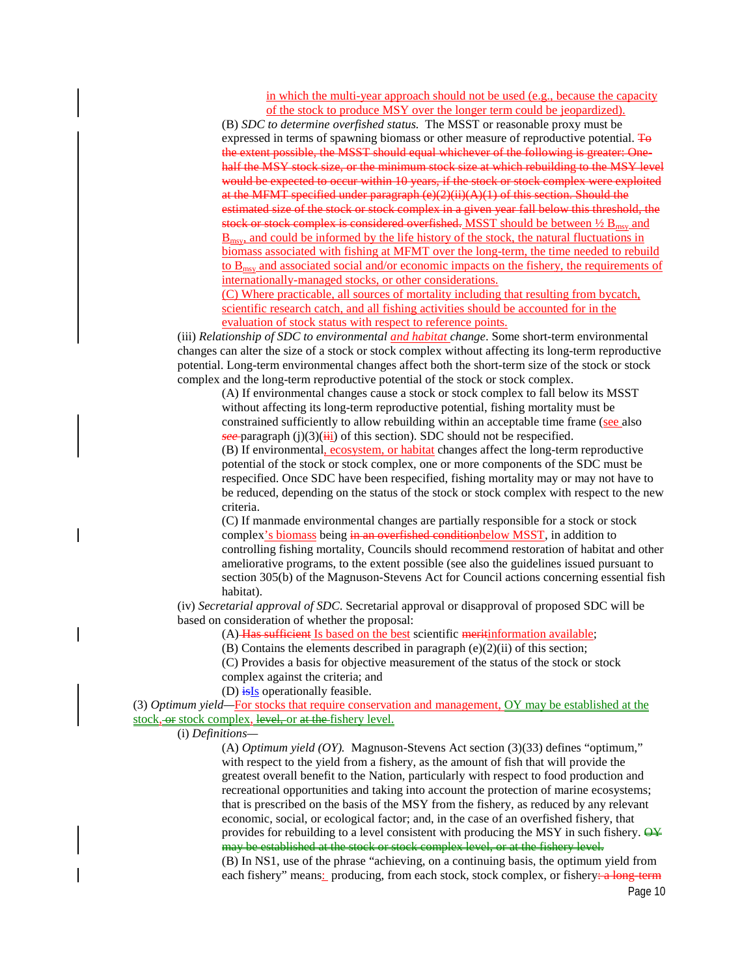in which the multi-year approach should not be used (e.g., because the capacity of the stock to produce MSY over the longer term could be jeopardized).

(B) *SDC to determine overfished status.* The MSST or reasonable proxy must be expressed in terms of spawning biomass or other measure of reproductive potential. To the extent possible, the MSST should equal whichever of the following is greater: Onehalf the MSY stock size, or the minimum stock size at which rebuilding to the MSY level would be expected to occur within 10 years, if the stock or stock complex were exploited at the MFMT specified under paragraph  $(e)(2)(ii)(A)(1)$  of this section. Should the estimated size of the stock or stock complex in a given year fall below this threshold, the stock or stock complex is considered overfished. MSST should be between  $\frac{1}{2} B_{\text{msv}}$  and  $\underline{B}_{msy}$  and could be informed by the life history of the stock, the natural fluctuations in biomass associated with fishing at MFMT over the long-term, the time needed to rebuild to  $B_{\text{msv}}$  and associated social and/or economic impacts on the fishery, the requirements of internationally-managed stocks, or other considerations.

(C) Where practicable, all sources of mortality including that resulting from bycatch, scientific research catch, and all fishing activities should be accounted for in the evaluation of stock status with respect to reference points.

(iii) *Relationship of SDC to environmental and habitat change*. Some short-term environmental changes can alter the size of a stock or stock complex without affecting its long-term reproductive potential. Long-term environmental changes affect both the short-term size of the stock or stock complex and the long-term reproductive potential of the stock or stock complex.

(A) If environmental changes cause a stock or stock complex to fall below its MSST without affecting its long-term reproductive potential, fishing mortality must be constrained sufficiently to allow rebuilding within an acceptable time frame (see also  $\frac{\text{see}}{\text{for}}$  paragraph (j)(3)( $\frac{1}{111}$ ) of this section). SDC should not be respecified.

(B) If environmental, ecosystem, or habitat changes affect the long-term reproductive potential of the stock or stock complex, one or more components of the SDC must be respecified. Once SDC have been respecified, fishing mortality may or may not have to be reduced, depending on the status of the stock or stock complex with respect to the new criteria.

(C) If manmade environmental changes are partially responsible for a stock or stock complex's biomass being in an overfished conditionbelow MSST, in addition to controlling fishing mortality, Councils should recommend restoration of habitat and other ameliorative programs, to the extent possible (see also the guidelines issued pursuant to section 305(b) of the Magnuson-Stevens Act for Council actions concerning essential fish habitat).

(iv) *Secretarial approval of SDC*. Secretarial approval or disapproval of proposed SDC will be based on consideration of whether the proposal:

(A) Has sufficient Is based on the best scientific meritinformation available;

(B) Contains the elements described in paragraph (e)(2)(ii) of this section;

(C) Provides a basis for objective measurement of the status of the stock or stock complex against the criteria; and

(D)  $\frac{1}{15}$  operationally feasible.

(3) *Optimum yield—*For stocks that require conservation and management, OY may be established at the stock, or stock complex, level, or at the fishery level.

(i) *Definitions—*

(A) *Optimum yield (OY).* Magnuson-Stevens Act section (3)(33) defines "optimum," with respect to the yield from a fishery, as the amount of fish that will provide the greatest overall benefit to the Nation, particularly with respect to food production and recreational opportunities and taking into account the protection of marine ecosystems; that is prescribed on the basis of the MSY from the fishery, as reduced by any relevant economic, social, or ecological factor; and, in the case of an overfished fishery, that provides for rebuilding to a level consistent with producing the MSY in such fishery.  $\Theta \dot{\mathbf{y}}$ may be established at the stock or stock complex level, or at the fishery level.

(B) In NS1, use of the phrase "achieving, on a continuing basis, the optimum yield from each fishery" means: producing, from each stock, stock complex, or fishery<del>: a long-term</del>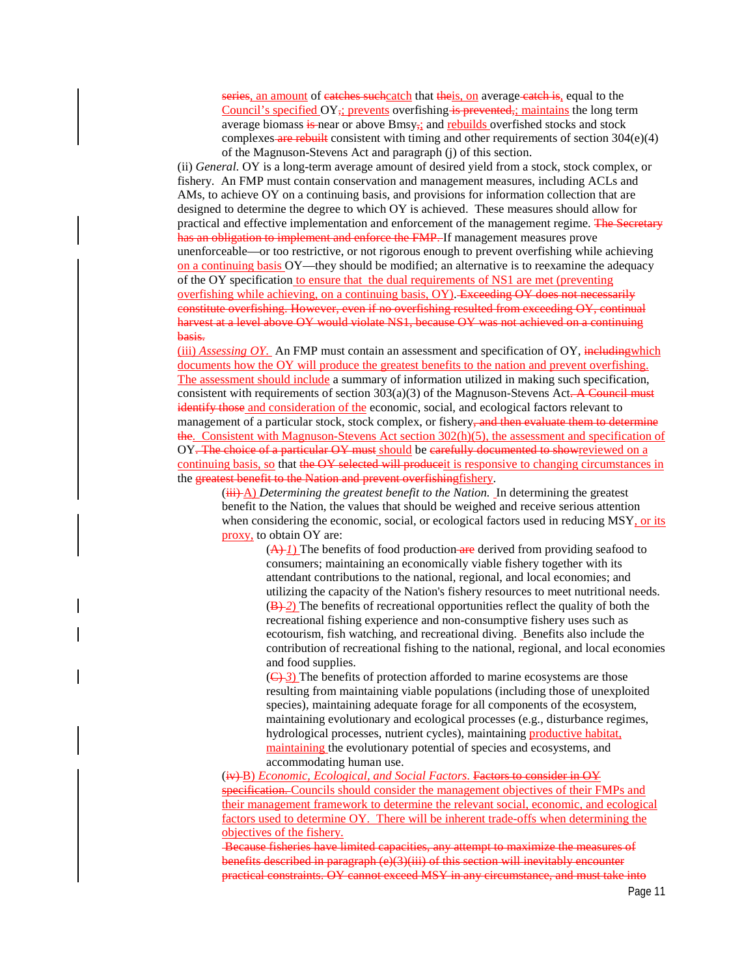series, an amount of eatches suchcatch that theis, on average eatch is, equal to the Council's specified  $OY_{\tau}$ ; prevents overfishing is prevented,; maintains the long term average biomass  $\frac{1}{2}$  near or above Bmsy<sub>72</sub> and rebuilds overfished stocks and stock complexes are rebuilt consistent with timing and other requirements of section  $304(e)(4)$ of the Magnuson-Stevens Act and paragraph (j) of this section.

(ii) *General*. OY is a long-term average amount of desired yield from a stock, stock complex, or fishery. An FMP must contain conservation and management measures, including ACLs and AMs, to achieve OY on a continuing basis, and provisions for information collection that are designed to determine the degree to which OY is achieved. These measures should allow for practical and effective implementation and enforcement of the management regime. The Secretary has an obligation to implement and enforce the FMP. If management measures prove unenforceable—or too restrictive, or not rigorous enough to prevent overfishing while achieving on a continuing basis OY—they should be modified; an alternative is to reexamine the adequacy of the OY specification to ensure that the dual requirements of NS1 are met (preventing overfishing while achieving, on a continuing basis, OY). Exceeding OY does not necessarily constitute overfishing. However, even if no overfishing resulted from exceeding OY, continual harvest at a level above OY would violate NS1, because OY was not achieved on a continuing basis.

(iii) *Assessing OY*. An FMP must contain an assessment and specification of OY, includingwhich documents how the OY will produce the greatest benefits to the nation and prevent overfishing. The assessment should include a summary of information utilized in making such specification, consistent with requirements of section  $303(a)(3)$  of the Magnuson-Stevens Act. A Council must identify those and consideration of the economic, social, and ecological factors relevant to management of a particular stock, stock complex, or fishery, and then evaluate them to determine the. Consistent with Magnuson-Stevens Act section 302(h)(5), the assessment and specification of OY. The choice of a particular OY must should be carefully documented to showreviewed on a continuing basis, so that the OY selected will produce it is responsive to changing circumstances in the greatest benefit to the Nation and prevent overfishingfishery.

(iii) A) *Determining the greatest benefit to the Nation*. In determining the greatest benefit to the Nation, the values that should be weighed and receive serious attention when considering the economic, social, or ecological factors used in reducing MSY, or its proxy, to obtain OY are:

 $(A)$  *I*) The benefits of food production are derived from providing seafood to consumers; maintaining an economically viable fishery together with its attendant contributions to the national, regional, and local economies; and utilizing the capacity of the Nation's fishery resources to meet nutritional needs. (B)-2) The benefits of recreational opportunities reflect the quality of both the recreational fishing experience and non-consumptive fishery uses such as ecotourism, fish watching, and recreational diving. Benefits also include the contribution of recreational fishing to the national, regional, and local economies and food supplies.

 $(\bigoplus$  3) The benefits of protection afforded to marine ecosystems are those resulting from maintaining viable populations (including those of unexploited species), maintaining adequate forage for all components of the ecosystem, maintaining evolutionary and ecological processes (e.g., disturbance regimes, hydrological processes, nutrient cycles), maintaining productive habitat, maintaining the evolutionary potential of species and ecosystems, and accommodating human use.

(iv) B) *Economic, Ecological, and Social Factors*. Factors to consider in OY specification. Councils should consider the management objectives of their FMPs and their management framework to determine the relevant social, economic, and ecological factors used to determine OY. There will be inherent trade-offs when determining the objectives of the fishery.

Because fisheries have limited capacities, any attempt to maximize the measures of benefits described in paragraph  $(e)(3)(iii)$  of this section will inevitably encounter practical constraints. OY cannot exceed MSY in any circumstance, and must take into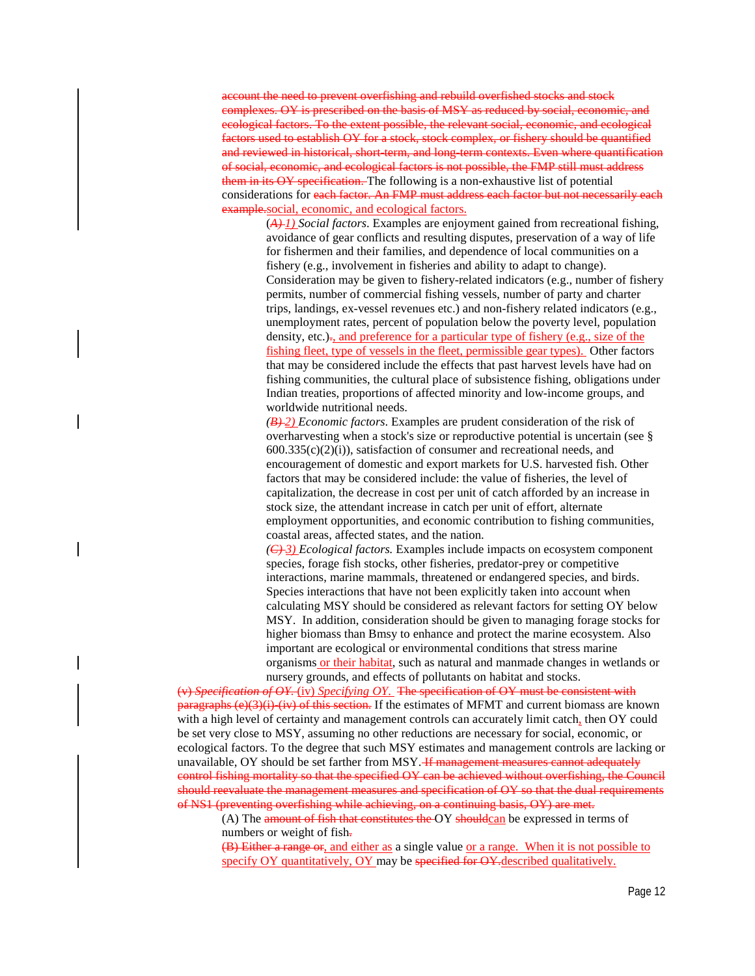account the need to prevent overfishing and rebuild overfished stocks and stock complexes. OY is prescribed on the basis of MSY as reduced by social, economic, and ecological factors. To the extent possible, the relevant social, economic, and ecological factors used to establish OY for a stock, stock complex, or fishery should be quantified and reviewed in historical, short-term, and long-term contexts. Even where quantification of social, economic, and ecological factors is not possible, the FMP still must address them in its OY specification. The following is a non-exhaustive list of potential considerations for each factor. An FMP must address each factor but not necessarily each example.social, economic, and ecological factors.

(*A) 1) Social factors*. Examples are enjoyment gained from recreational fishing, avoidance of gear conflicts and resulting disputes, preservation of a way of life for fishermen and their families, and dependence of local communities on a fishery (e.g., involvement in fisheries and ability to adapt to change). Consideration may be given to fishery-related indicators (e.g., number of fishery permits, number of commercial fishing vessels, number of party and charter trips, landings, ex-vessel revenues etc.) and non-fishery related indicators (e.g., unemployment rates, percent of population below the poverty level, population density, etc.)., and preference for a particular type of fishery (e.g., size of the fishing fleet, type of vessels in the fleet, permissible gear types). Other factors that may be considered include the effects that past harvest levels have had on fishing communities, the cultural place of subsistence fishing, obligations under Indian treaties, proportions of affected minority and low-income groups, and worldwide nutritional needs.

*(B) 2) Economic factors*. Examples are prudent consideration of the risk of overharvesting when a stock's size or reproductive potential is uncertain (see §  $600.335(c)(2)(i)$ , satisfaction of consumer and recreational needs, and encouragement of domestic and export markets for U.S. harvested fish. Other factors that may be considered include: the value of fisheries, the level of capitalization, the decrease in cost per unit of catch afforded by an increase in stock size, the attendant increase in catch per unit of effort, alternate employment opportunities, and economic contribution to fishing communities, coastal areas, affected states, and the nation.

*(C) 3) Ecological factors.* Examples include impacts on ecosystem component species, forage fish stocks, other fisheries, predator-prey or competitive interactions, marine mammals, threatened or endangered species, and birds. Species interactions that have not been explicitly taken into account when calculating MSY should be considered as relevant factors for setting OY below MSY. In addition, consideration should be given to managing forage stocks for higher biomass than Bmsy to enhance and protect the marine ecosystem. Also important are ecological or environmental conditions that stress marine organisms or their habitat, such as natural and manmade changes in wetlands or nursery grounds, and effects of pollutants on habitat and stocks.

(v) *Specification of OY.* (iv) *Specifying OY*. The specification of OY must be consistent with  $\frac{\text{parameters}}{\text{parameters}}$  (iv) of this section. If the estimates of MFMT and current biomass are known with a high level of certainty and management controls can accurately limit catch, then OY could be set very close to MSY, assuming no other reductions are necessary for social, economic, or ecological factors. To the degree that such MSY estimates and management controls are lacking or unavailable, OY should be set farther from MSY. If management measures cannot adequately control fishing mortality so that the specified OY can be achieved without overfishing, the Council should reevaluate the management measures and specification of OY so that the dual requirements of NS1 (preventing overfishing while achieving, on a continuing basis, OY) are met.

 $(A)$  The amount of fish that constitutes the OY shouldcan be expressed in terms of numbers or weight of fish-

(B) Either a range or, and either as a single value or a range. When it is not possible to specify OY quantitatively, OY may be specified for OY-described qualitatively.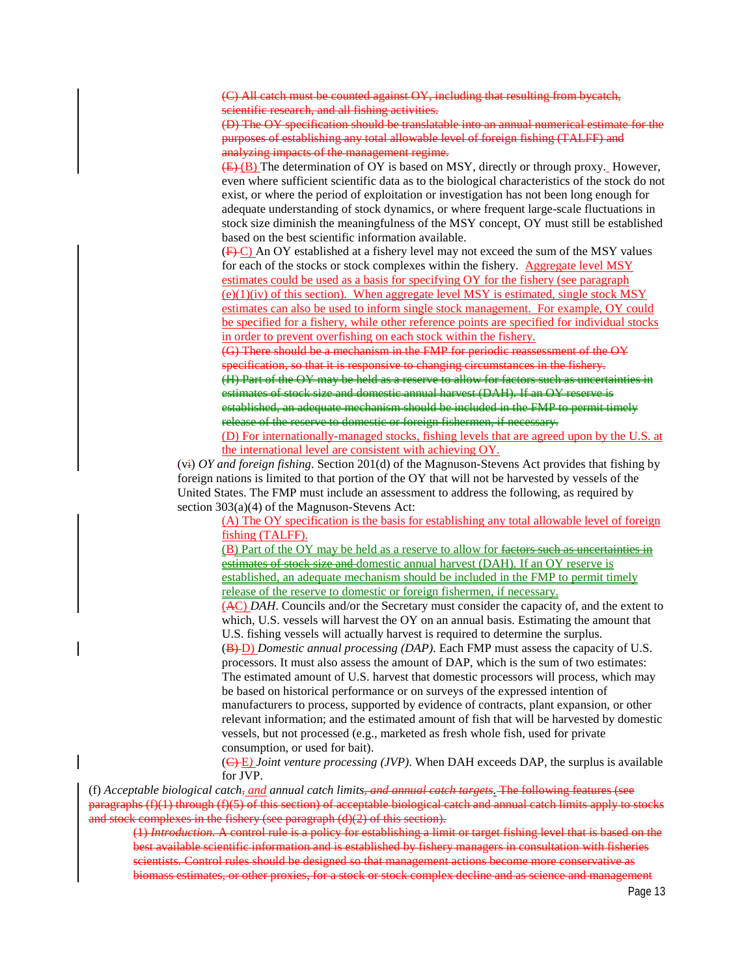(C) All catch must be counted against OY, including that resulting from bycatch, scientific research, and all fishing activities.

(D) The OY specification should be translatable into an annual numerical estimate for the purposes of establishing any total allowable level of foreign fishing (TALFF) and analyzing impacts of the management regime.

 $(E)(B)$  The determination of OY is based on MSY, directly or through proxy. However, even where sufficient scientific data as to the biological characteristics of the stock do not exist, or where the period of exploitation or investigation has not been long enough for adequate understanding of stock dynamics, or where frequent large-scale fluctuations in stock size diminish the meaningfulness of the MSY concept, OY must still be established based on the best scientific information available.

(F) C) An OY established at a fishery level may not exceed the sum of the MSY values for each of the stocks or stock complexes within the fishery. Aggregate level MSY estimates could be used as a basis for specifying OY for the fishery (see paragraph  $(e)(1)(iv)$  of this section). When aggregate level MSY is estimated, single stock MSY estimates can also be used to inform single stock management. For example, OY could be specified for a fishery, while other reference points are specified for individual stocks in order to prevent overfishing on each stock within the fishery.

(G) There should be a mechanism in the FMP for periodic reassessment of the OY specification, so that it is responsive to changing circumstances in the fishery. (H) Part of the OY may be held as a reserve to allow for factors such as uncertainties in estimates of stock size and domestic annual harvest (DAH). If an OY reserve is established, an adequate mechanism should be included in the FMP to permit timely release of the reserve to domestic or foreign fishermen, if necessary.

(D) For internationally-managed stocks, fishing levels that are agreed upon by the U.S. at the international level are consistent with achieving OY.

(vi) *OY and foreign fishing*. Section 201(d) of the Magnuson-Stevens Act provides that fishing by foreign nations is limited to that portion of the OY that will not be harvested by vessels of the United States. The FMP must include an assessment to address the following, as required by section 303(a)(4) of the Magnuson-Stevens Act:

(A) The OY specification is the basis for establishing any total allowable level of foreign fishing (TALFF).

(B) Part of the OY may be held as a reserve to allow for factors such as uncertainties in estimates of stock size and domestic annual harvest (DAH). If an OY reserve is established, an adequate mechanism should be included in the FMP to permit timely release of the reserve to domestic or foreign fishermen, if necessary.

(AC) *DAH*. Councils and/or the Secretary must consider the capacity of, and the extent to which, U.S. vessels will harvest the OY on an annual basis. Estimating the amount that U.S. fishing vessels will actually harvest is required to determine the surplus.

(B) D) *Domestic annual processing (DAP)*. Each FMP must assess the capacity of U.S. processors. It must also assess the amount of DAP, which is the sum of two estimates: The estimated amount of U.S. harvest that domestic processors will process, which may be based on historical performance or on surveys of the expressed intention of manufacturers to process, supported by evidence of contracts, plant expansion, or other relevant information; and the estimated amount of fish that will be harvested by domestic vessels, but not processed (e.g., marketed as fresh whole fish, used for private consumption, or used for bait).

(C) E*) Joint venture processing (JVP)*. When DAH exceeds DAP, the surplus is available for JVP.

(f) *Acceptable biological catch, and annual catch limits, and annual catch targets*. The following features (see paragraphs (f)(1) through (f)(5) of this section) of acceptable biological catch and annual catch limits apply to stocks and stock complexes in the fishery (see paragraph (d)(2) of this section).

(1) *Introduction.* A control rule is a policy for establishing a limit or target fishing level that is based on the best available scientific information and is established by fishery managers in consultation with fisheries scientists. Control rules should be designed so that management actions become more conservative as biomass estimates, or other proxies, for a stock or stock complex decline and as science and management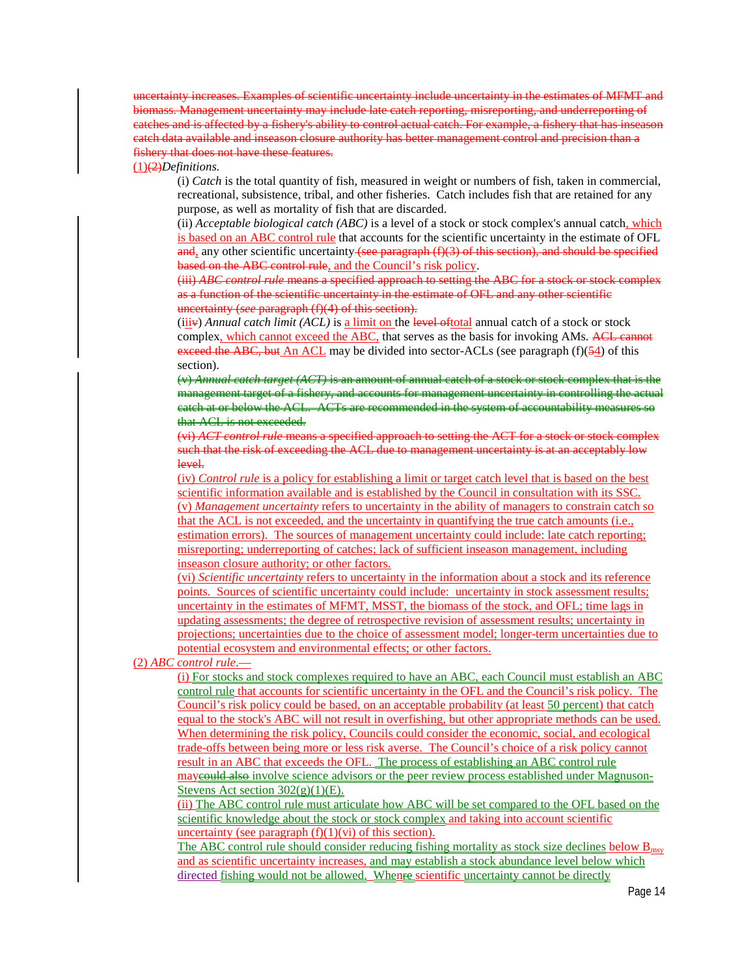uncertainty increases. Examples of scientific uncertainty include uncertainty in the estimates of MFMT and biomass. Management uncertainty may include late catch reporting, misreporting, and underreporting of catches and is affected by a fishery's ability to control actual catch. For example, a fishery that has inseason catch data available and inseason closure authority has better management control and precision than a fishery that does not have these features.

#### (1)(2)*Definitions.*

(i) *Catch* is the total quantity of fish, measured in weight or numbers of fish, taken in commercial, recreational, subsistence, tribal, and other fisheries. Catch includes fish that are retained for any purpose, as well as mortality of fish that are discarded.

(ii) *Acceptable biological catch (ABC)* is a level of a stock or stock complex's annual catch, which is based on an ABC control rule that accounts for the scientific uncertainty in the estimate of OFL and, any other scientific uncertainty (see paragraph  $(f)(3)$  of this section), and should be specified based on the ABC control rule, and the Council's risk policy.

(iii) *ABC control rule* means a specified approach to setting the ABC for a stock or stock complex as a function of the scientific uncertainty in the estimate of OFL and any other scientific uncertainty (*see* paragraph (f)(4) of this section).

 $(iiiiv)$  *Annual catch limit (ACL)* is a limit on the level of total annual catch of a stock or stock complex, which cannot exceed the ABC, that serves as the basis for invoking AMs. ACL cannot exceed the ABC, but An ACL may be divided into sector-ACLs (see paragraph (f)(54) of this section).

(v) *Annual catch target (ACT)* is an amount of annual catch of a stock or stock complex that is the management target of a fishery, and accounts for management uncertainty in controlling the actual catch at or below the ACL. ACTs are recommended in the system of accountability measures so that ACL is not exceeded.

(vi) *ACT control rule* means a specified approach to setting the ACT for a stock or stock complex such that the risk of exceeding the ACL due to management uncertainty is at an acceptably low level.

(iv) *Control rule* is a policy for establishing a limit or target catch level that is based on the best scientific information available and is established by the Council in consultation with its SSC. (v) *Management uncertainty* refers to uncertainty in the ability of managers to constrain catch so that the ACL is not exceeded, and the uncertainty in quantifying the true catch amounts (i.e., estimation errors). The sources of management uncertainty could include: late catch reporting; misreporting; underreporting of catches; lack of sufficient inseason management, including inseason closure authority; or other factors.

(vi) *Scientific uncertainty* refers to uncertainty in the information about a stock and its reference points. Sources of scientific uncertainty could include: uncertainty in stock assessment results; uncertainty in the estimates of MFMT, MSST, the biomass of the stock, and OFL; time lags in updating assessments; the degree of retrospective revision of assessment results; uncertainty in projections; uncertainties due to the choice of assessment model; longer-term uncertainties due to potential ecosystem and environmental effects; or other factors.

# (2) *ABC control rule*.—

(i) For stocks and stock complexes required to have an ABC, each Council must establish an ABC control rule that accounts for scientific uncertainty in the OFL and the Council's risk policy. The Council's risk policy could be based, on an acceptable probability (at least 50 percent) that catch equal to the stock's ABC will not result in overfishing, but other appropriate methods can be used. When determining the risk policy, Councils could consider the economic, social, and ecological trade-offs between being more or less risk averse. The Council's choice of a risk policy cannot result in an ABC that exceeds the OFL. The process of establishing an ABC control rule may established also involve science advisors or the peer review process established under Magnuson-Stevens Act section  $302(g)(1)(E)$ .

(ii) The ABC control rule must articulate how ABC will be set compared to the OFL based on the scientific knowledge about the stock or stock complex and taking into account scientific uncertainty (see paragraph  $(f)(1)(vi)$  of this section).

The ABC control rule should consider reducing fishing mortality as stock size declines below  $B_{\text{msy}}$ and as scientific uncertainty increases, and may establish a stock abundance level below which directed fishing would not be allowed. Whenre scientific uncertainty cannot be directly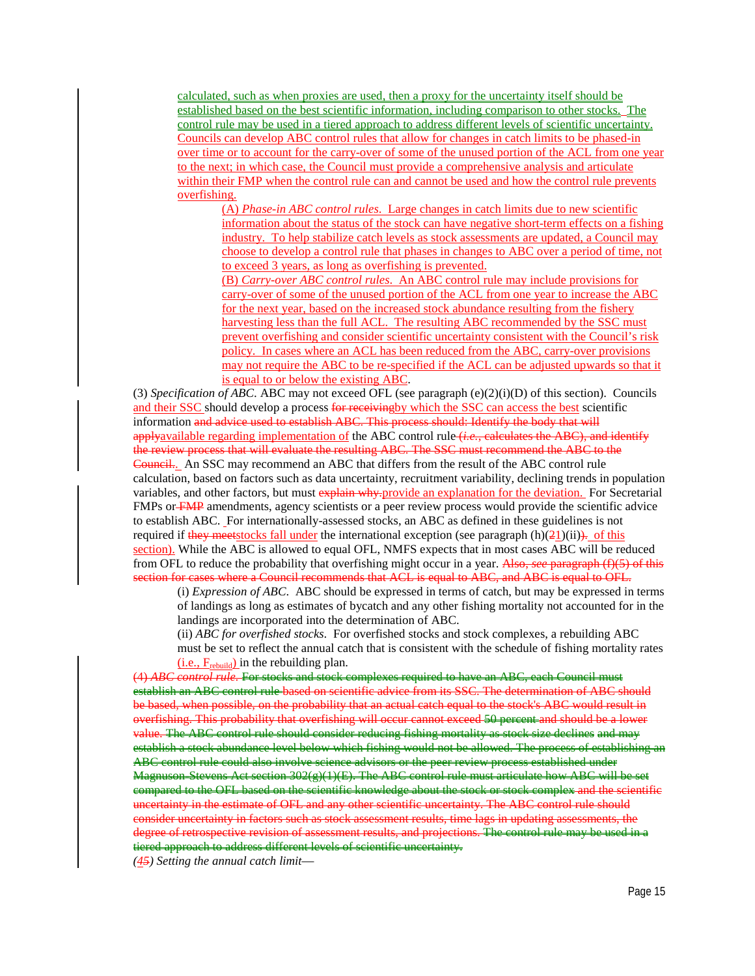calculated, such as when proxies are used, then a proxy for the uncertainty itself should be established based on the best scientific information, including comparison to other stocks. The control rule may be used in a tiered approach to address different levels of scientific uncertainty. Councils can develop ABC control rules that allow for changes in catch limits to be phased-in over time or to account for the carry-over of some of the unused portion of the ACL from one year to the next; in which case, the Council must provide a comprehensive analysis and articulate within their FMP when the control rule can and cannot be used and how the control rule prevents overfishing.

(A) *Phase-in ABC control rules*. Large changes in catch limits due to new scientific information about the status of the stock can have negative short-term effects on a fishing industry. To help stabilize catch levels as stock assessments are updated, a Council may choose to develop a control rule that phases in changes to ABC over a period of time, not to exceed 3 years, as long as overfishing is prevented.

(B) *Carry-over ABC control rules*. An ABC control rule may include provisions for carry-over of some of the unused portion of the ACL from one year to increase the ABC for the next year, based on the increased stock abundance resulting from the fishery harvesting less than the full ACL. The resulting ABC recommended by the SSC must prevent overfishing and consider scientific uncertainty consistent with the Council's risk policy. In cases where an ACL has been reduced from the ABC, carry-over provisions may not require the ABC to be re-specified if the ACL can be adjusted upwards so that it is equal to or below the existing ABC.

(3) *Specification of ABC*. ABC may not exceed OFL (see paragraph (e)(2)(i)(D) of this section). Councils and their SSC should develop a process for receiving by which the SSC can access the best scientific information and advice used to establish ABC. This process should: Identify the body that will applyavailable regarding implementation of the ABC control rule (*i.e.*, calculates the ABC), and identify the review process that will evaluate the resulting ABC. The SSC must recommend the ABC to the Council.. An SSC may recommend an ABC that differs from the result of the ABC control rule calculation, based on factors such as data uncertainty, recruitment variability, declining trends in population variables, and other factors, but must explain why.provide an explanation for the deviation. For Secretarial FMPs or FMP amendments, agency scientists or a peer review process would provide the scientific advice to establish ABC. For internationally-assessed stocks, an ABC as defined in these guidelines is not required if they meetstocks fall under the international exception (see paragraph  $(h)(21)(ii)$ ). of this section). While the ABC is allowed to equal OFL, NMFS expects that in most cases ABC will be reduced from OFL to reduce the probability that overfishing might occur in a year. Also, *see* paragraph (f)(5) of this section for cases where a Council recommends that ACL is equal to ABC, and ABC is equal to OFL.

(i) *Expression of ABC*. ABC should be expressed in terms of catch, but may be expressed in terms of landings as long as estimates of bycatch and any other fishing mortality not accounted for in the landings are incorporated into the determination of ABC.

(ii) *ABC for overfished stocks*. For overfished stocks and stock complexes, a rebuilding ABC must be set to reflect the annual catch that is consistent with the schedule of fishing mortality rates  $(i.e., F_{rebuild})$  in the rebuilding plan.

(4) *ABC control rule.* For stocks and stock complexes required to have an ABC, each Council must establish an ABC control rule based on scientific advice from its SSC. The determination of ABC should be based, when possible, on the probability that an actual catch equal to the stock's ABC would result in overfishing. This probability that overfishing will occur cannot exceed 50 percent and should be a lower value. The ABC control rule should consider reducing fishing mortality as stock size declines and may establish a stock abundance level below which fishing would not be allowed. The process of establishing an ABC control rule could also involve science advisors or the peer review process established under Magnuson-Stevens Act section 302(g)(1)(E). The ABC control rule must articulate how ABC will be set compared to the OFL based on the scientific knowledge about the stock or stock complex and the scientific uncertainty in the estimate of OFL and any other scientific uncertainty. The ABC control rule should consider uncertainty in factors such as stock assessment results, time lags in updating assessments, the degree of retrospective revision of assessment results, and projections. The control rule may be used in a tiered approach to address different levels of scientific uncertainty.

*(45) Setting the annual catch limit*—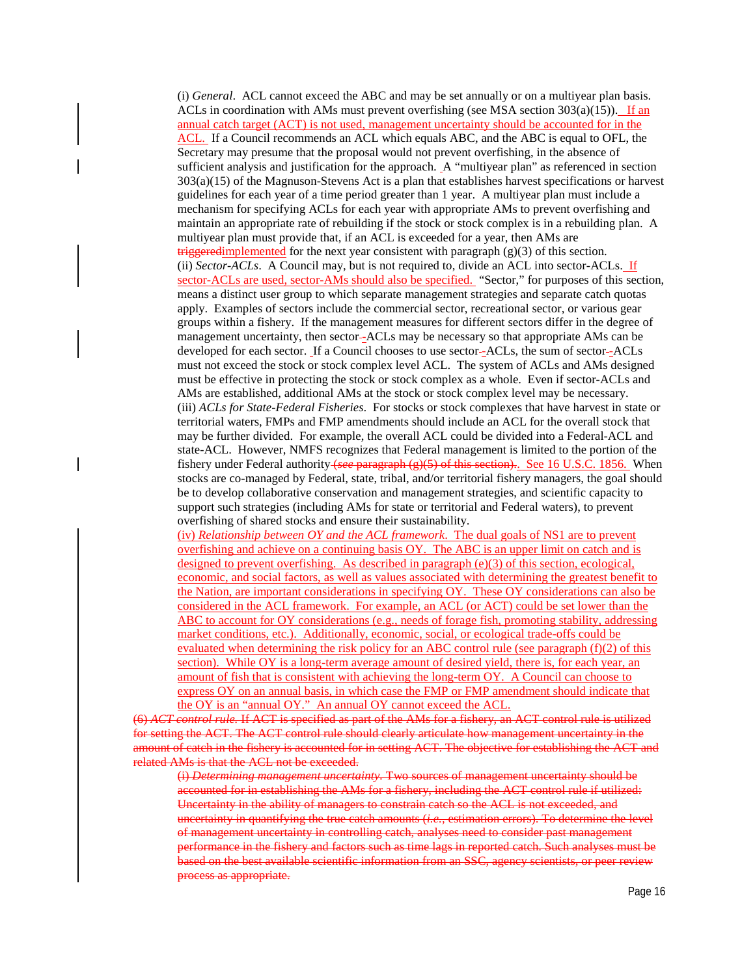(i) *General*. ACL cannot exceed the ABC and may be set annually or on a multiyear plan basis. ACLs in coordination with AMs must prevent overfishing (see MSA section  $303(a)(15)$ ). If an annual catch target (ACT) is not used, management uncertainty should be accounted for in the ACL. If a Council recommends an ACL which equals ABC, and the ABC is equal to OFL, the Secretary may presume that the proposal would not prevent overfishing, in the absence of sufficient analysis and justification for the approach. A "multiyear plan" as referenced in section 303(a)(15) of the Magnuson-Stevens Act is a plan that establishes harvest specifications or harvest guidelines for each year of a time period greater than 1 year. A multiyear plan must include a mechanism for specifying ACLs for each year with appropriate AMs to prevent overfishing and maintain an appropriate rate of rebuilding if the stock or stock complex is in a rebuilding plan. A multiyear plan must provide that, if an ACL is exceeded for a year, then AMs are  $t$ riggeredimplemented for the next year consistent with paragraph  $(g)(3)$  of this section. (ii) *Sector-ACLs*. A Council may, but is not required to, divide an ACL into sector-ACLs. If sector-ACLs are used, sector-AMs should also be specified. "Sector," for purposes of this section, means a distinct user group to which separate management strategies and separate catch quotas apply. Examples of sectors include the commercial sector, recreational sector, or various gear groups within a fishery. If the management measures for different sectors differ in the degree of management uncertainty, then sector--ACLs may be necessary so that appropriate AMs can be developed for each sector. If a Council chooses to use sector -ACLs, the sum of sector -ACLs must not exceed the stock or stock complex level ACL. The system of ACLs and AMs designed must be effective in protecting the stock or stock complex as a whole. Even if sector-ACLs and AMs are established, additional AMs at the stock or stock complex level may be necessary. (iii) *ACLs for State-Federal Fisheries*. For stocks or stock complexes that have harvest in state or territorial waters, FMPs and FMP amendments should include an ACL for the overall stock that may be further divided. For example, the overall ACL could be divided into a Federal-ACL and state-ACL. However, NMFS recognizes that Federal management is limited to the portion of the fishery under Federal authority (*see* paragraph (g)(5) of this section).. See 16 U.S.C. 1856. When stocks are co-managed by Federal, state, tribal, and/or territorial fishery managers, the goal should be to develop collaborative conservation and management strategies, and scientific capacity to support such strategies (including AMs for state or territorial and Federal waters), to prevent overfishing of shared stocks and ensure their sustainability.

(iv) *Relationship between OY and the ACL framework*. The dual goals of NS1 are to prevent overfishing and achieve on a continuing basis OY. The ABC is an upper limit on catch and is designed to prevent overfishing. As described in paragraph (e)(3) of this section, ecological, economic, and social factors, as well as values associated with determining the greatest benefit to the Nation, are important considerations in specifying OY. These OY considerations can also be considered in the ACL framework. For example, an ACL (or ACT) could be set lower than the ABC to account for OY considerations (e.g., needs of forage fish, promoting stability, addressing market conditions, etc.). Additionally, economic, social, or ecological trade-offs could be evaluated when determining the risk policy for an ABC control rule (see paragraph (f)(2) of this section). While OY is a long-term average amount of desired yield, there is, for each year, an amount of fish that is consistent with achieving the long-term OY. A Council can choose to express OY on an annual basis, in which case the FMP or FMP amendment should indicate that the OY is an "annual OY." An annual OY cannot exceed the ACL.

(6) *ACT control rule.* If ACT is specified as part of the AMs for a fishery, an ACT control rule is utilized for setting the ACT. The ACT control rule should clearly articulate how management uncertainty in the amount of catch in the fishery is accounted for in setting ACT. The objective for establishing the ACT and related AMs is that the ACL not be exceeded.

(i) *Determining management uncertainty.* Two sources of management uncertainty should be accounted for in establishing the AMs for a fishery, including the ACT control rule if utilized: Uncertainty in the ability of managers to constrain catch so the ACL is not exceeded, and uncertainty in quantifying the true catch amounts (*i.e.,* estimation errors). To determine the level of management uncertainty in controlling catch, analyses need to consider past management performance in the fishery and factors such as time lags in reported catch. Such analyses must be based on the best available scientific information from an SSC, agency scientists, or peer review process as appropriate.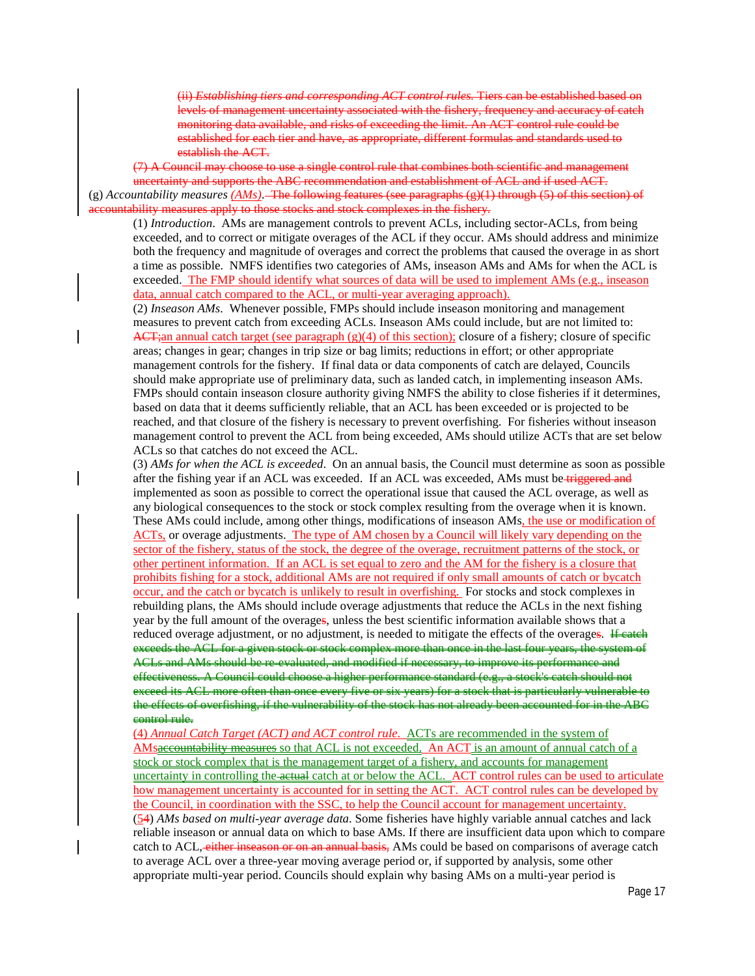(ii) *Establishing tiers and corresponding ACT control rules.* Tiers can be established based on levels of management uncertainty associated with the fishery, frequency and accuracy of catch monitoring data available, and risks of exceeding the limit. An ACT control rule could be established for each tier and have, as appropriate, different formulas and standards used to establish the ACT.

(7) A Council may choose to use a single control rule that combines both scientific and management uncertainty and supports the ABC recommendation and establishment of ACL and if used ACT. (g) *Accountability measures (AMs)*. The following features (see paragraphs (g)(1) through (5) of this section) of accountability measures apply to those stocks and stock complexes in the fishery.

(1) *Introduction*. AMs are management controls to prevent ACLs, including sector-ACLs, from being exceeded, and to correct or mitigate overages of the ACL if they occur. AMs should address and minimize both the frequency and magnitude of overages and correct the problems that caused the overage in as short a time as possible. NMFS identifies two categories of AMs, inseason AMs and AMs for when the ACL is exceeded. The FMP should identify what sources of data will be used to implement AMs (e.g., inseason data, annual catch compared to the ACL, or multi-year averaging approach).

(2) *Inseason AMs*. Whenever possible, FMPs should include inseason monitoring and management measures to prevent catch from exceeding ACLs. Inseason AMs could include, but are not limited to:  $ACT$ ;an annual catch target (see paragraph (g)(4) of this section); closure of a fishery; closure of specific areas; changes in gear; changes in trip size or bag limits; reductions in effort; or other appropriate management controls for the fishery. If final data or data components of catch are delayed, Councils should make appropriate use of preliminary data, such as landed catch, in implementing inseason AMs. FMPs should contain inseason closure authority giving NMFS the ability to close fisheries if it determines, based on data that it deems sufficiently reliable, that an ACL has been exceeded or is projected to be reached, and that closure of the fishery is necessary to prevent overfishing. For fisheries without inseason management control to prevent the ACL from being exceeded, AMs should utilize ACTs that are set below ACLs so that catches do not exceed the ACL.

(3) *AMs for when the ACL is exceeded*. On an annual basis, the Council must determine as soon as possible after the fishing year if an ACL was exceeded. If an ACL was exceeded, AMs must be triggered and implemented as soon as possible to correct the operational issue that caused the ACL overage, as well as any biological consequences to the stock or stock complex resulting from the overage when it is known. These AMs could include, among other things, modifications of inseason AMs, the use or modification of ACTs, or overage adjustments. The type of AM chosen by a Council will likely vary depending on the sector of the fishery, status of the stock, the degree of the overage, recruitment patterns of the stock, or other pertinent information. If an ACL is set equal to zero and the AM for the fishery is a closure that prohibits fishing for a stock, additional AMs are not required if only small amounts of catch or bycatch occur, and the catch or bycatch is unlikely to result in overfishing. For stocks and stock complexes in rebuilding plans, the AMs should include overage adjustments that reduce the ACLs in the next fishing year by the full amount of the overages, unless the best scientific information available shows that a reduced overage adjustment, or no adjustment, is needed to mitigate the effects of the overages. Heaten exceeds the ACL for a given stock or stock complex more than once in the last four years, the system of ACLs and AMs should be re-evaluated, and modified if necessary, to improve its performance and effectiveness. A Council could choose a higher performance standard (e.g., a stock's catch should not exceed its ACL more often than once every five or six years) for a stock that is particularly vulnerable to the effects of overfishing, if the vulnerability of the stock has not already been accounted for in the ABC control rule.

(4) *Annual Catch Target (ACT) and ACT control rule*. ACTs are recommended in the system of AMsaccountability measures so that ACL is not exceeded. An ACT is an amount of annual catch of a stock or stock complex that is the management target of a fishery, and accounts for management uncertainty in controlling the actual catch at or below the ACL. ACT control rules can be used to articulate how management uncertainty is accounted for in setting the ACT. ACT control rules can be developed by the Council, in coordination with the SSC, to help the Council account for management uncertainty. (54) *AMs based on multi-year average data*. Some fisheries have highly variable annual catches and lack reliable inseason or annual data on which to base AMs. If there are insufficient data upon which to compare catch to ACL, either inseason or on an annual basis, AMs could be based on comparisons of average catch to average ACL over a three-year moving average period or, if supported by analysis, some other appropriate multi-year period. Councils should explain why basing AMs on a multi-year period is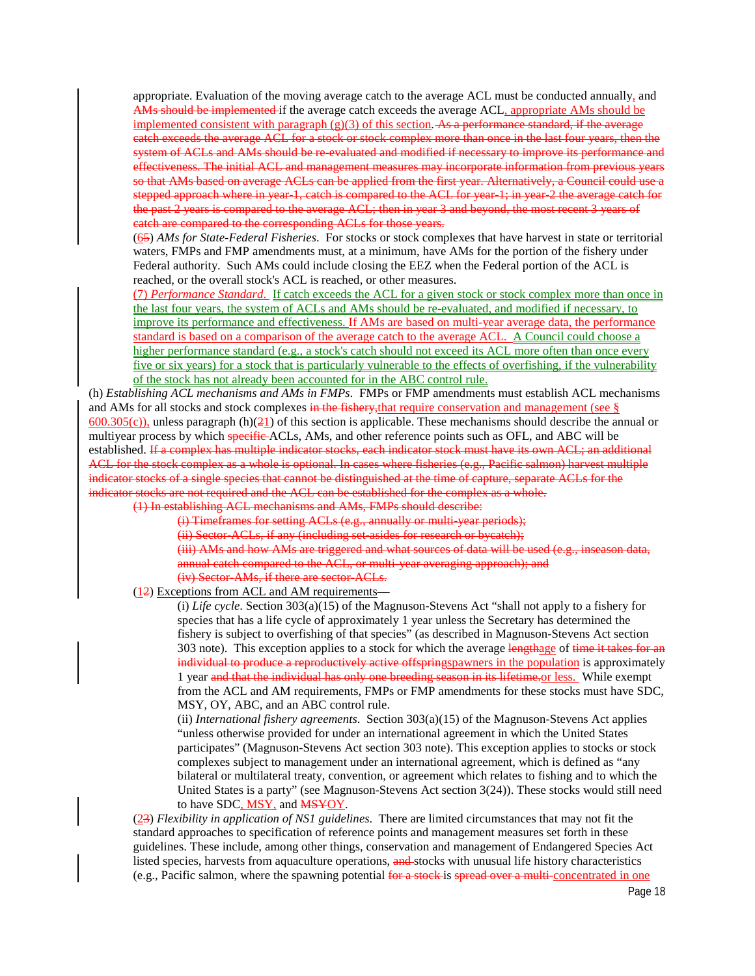appropriate. Evaluation of the moving average catch to the average ACL must be conducted annually, and AMs should be implemented if the average catch exceeds the average ACL, appropriate AMs should be implemented consistent with paragraph  $(g)(3)$  of this section. As a performance standard, if the average catch exceeds the average ACL for a stock or stock complex more than once in the last four years, then the system of ACLs and AMs should be re-evaluated and modified if necessary to improve its performance and effectiveness. The initial ACL and management measures may incorporate information from previous years so that AMs based on average ACLs can be applied from the first year. Alternatively, a Council could use a stepped approach where in year-1, catch is compared to the ACL for year-1; in year-2 the average catch for the past 2 years is compared to the average ACL; then in year 3 and beyond, the most recent 3 years of catch are compared to the corresponding ACLs for those years.

(65) *AMs for State-Federal Fisheries*. For stocks or stock complexes that have harvest in state or territorial waters, FMPs and FMP amendments must, at a minimum, have AMs for the portion of the fishery under Federal authority. Such AMs could include closing the EEZ when the Federal portion of the ACL is reached, or the overall stock's ACL is reached, or other measures.

(7) *Performance Standard*. If catch exceeds the ACL for a given stock or stock complex more than once in the last four years, the system of ACLs and AMs should be re-evaluated, and modified if necessary, to improve its performance and effectiveness. If AMs are based on multi-year average data, the performance standard is based on a comparison of the average catch to the average ACL. A Council could choose a higher performance standard (e.g., a stock's catch should not exceed its ACL more often than once every five or six years) for a stock that is particularly vulnerable to the effects of overfishing, if the vulnerability of the stock has not already been accounted for in the ABC control rule.

(h) *Establishing ACL mechanisms and AMs in FMPs*. FMPs or FMP amendments must establish ACL mechanisms and AMs for all stocks and stock complexes in the fishery, that require conservation and management (see  $\S$ )  $600.305(c)$ ), unless paragraph (h)( $\frac{21}{21}$ ) of this section is applicable. These mechanisms should describe the annual or multiyear process by which specific ACLs, AMs, and other reference points such as OFL, and ABC will be established. If a complex has multiple indicator stocks, each indicator stock must have its own ACL; an additional ACL for the stock complex as a whole is optional. In cases where fisheries (e.g., Pacific salmon) harvest multiple indicator stocks of a single species that cannot be distinguished at the time of capture, separate ACLs for the indicator stocks are not required and the ACL can be established for the complex as a whole.

(1) In establishing ACL mechanisms and AMs, FMPs should describe:

(i) Timeframes for setting ACLs (e.g., annually or multi-year periods); (ii) Sector-ACLs, if any (including set-asides for research or bycatch); (iii) AMs and how AMs are triggered and what sources of data will be used (e.g., inseason data, annual catch compared to the ACL, or multi-year averaging approach); and (iv) Sector-AMs, if there are sector-ACLs.

(12) Exceptions from ACL and AM requirements—

(i) *Life cycle*. Section 303(a)(15) of the Magnuson-Stevens Act "shall not apply to a fishery for species that has a life cycle of approximately 1 year unless the Secretary has determined the fishery is subject to overfishing of that species" (as described in Magnuson-Stevens Act section 303 note). This exception applies to a stock for which the average lengthage of time it takes for an individual to produce a reproductively active offsprings paymers in the population is approximately 1 year and that the individual has only one breeding season in its lifetime.or less. While exempt from the ACL and AM requirements, FMPs or FMP amendments for these stocks must have SDC, MSY, OY, ABC, and an ABC control rule.

(ii) *International fishery agreements*. Section 303(a)(15) of the Magnuson-Stevens Act applies "unless otherwise provided for under an international agreement in which the United States participates" (Magnuson-Stevens Act section 303 note). This exception applies to stocks or stock complexes subject to management under an international agreement, which is defined as "any bilateral or multilateral treaty, convention, or agreement which relates to fishing and to which the United States is a party" (see Magnuson-Stevens Act section  $3(24)$ ). These stocks would still need to have SDC, MSY, and MSYOY.

(23) *Flexibility in application of NS1 guidelines*. There are limited circumstances that may not fit the standard approaches to specification of reference points and management measures set forth in these guidelines. These include, among other things, conservation and management of Endangered Species Act listed species, harvests from aquaculture operations, and stocks with unusual life history characteristics (e.g., Pacific salmon, where the spawning potential for a stock is spread over a multi-concentrated in one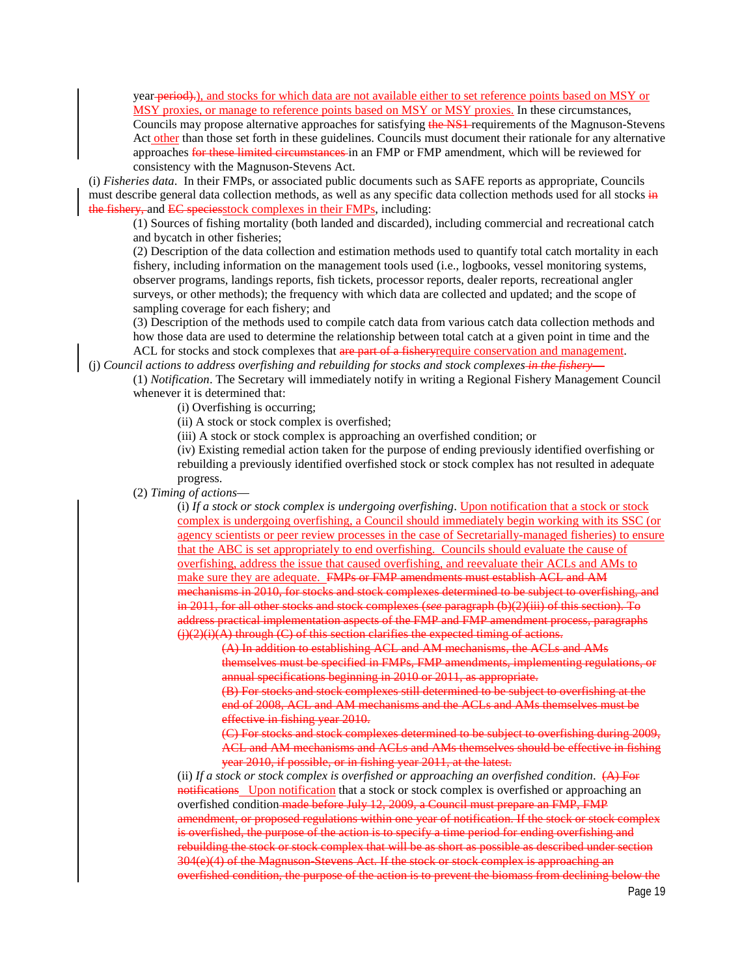year-period).), and stocks for which data are not available either to set reference points based on MSY or MSY proxies, or manage to reference points based on MSY or MSY proxies. In these circumstances,

Councils may propose alternative approaches for satisfying the NS1 requirements of the Magnuson-Stevens Act other than those set forth in these guidelines. Councils must document their rationale for any alternative approaches for these limited circumstances in an FMP or FMP amendment, which will be reviewed for consistency with the Magnuson-Stevens Act.

(i) *Fisheries data*. In their FMPs, or associated public documents such as SAFE reports as appropriate, Councils must describe general data collection methods, as well as any specific data collection methods used for all stocks in the fishery, and EC speciesstock complexes in their FMPs, including:

(1) Sources of fishing mortality (both landed and discarded), including commercial and recreational catch and bycatch in other fisheries;

(2) Description of the data collection and estimation methods used to quantify total catch mortality in each fishery, including information on the management tools used (i.e., logbooks, vessel monitoring systems, observer programs, landings reports, fish tickets, processor reports, dealer reports, recreational angler surveys, or other methods); the frequency with which data are collected and updated; and the scope of sampling coverage for each fishery; and

(3) Description of the methods used to compile catch data from various catch data collection methods and how those data are used to determine the relationship between total catch at a given point in time and the ACL for stocks and stock complexes that are part of a fisher yrequire conservation and management.

(j) *Council actions to address overfishing and rebuilding for stocks and stock complexes in the fishery*—

(1) *Notification*. The Secretary will immediately notify in writing a Regional Fishery Management Council whenever it is determined that:

(i) Overfishing is occurring;

(ii) A stock or stock complex is overfished;

(iii) A stock or stock complex is approaching an overfished condition; or

(iv) Existing remedial action taken for the purpose of ending previously identified overfishing or rebuilding a previously identified overfished stock or stock complex has not resulted in adequate progress.

## (2) *Timing of actions*—

(i) *If a stock or stock complex is undergoing overfishing*. Upon notification that a stock or stock complex is undergoing overfishing, a Council should immediately begin working with its SSC (or agency scientists or peer review processes in the case of Secretarially-managed fisheries) to ensure that the ABC is set appropriately to end overfishing. Councils should evaluate the cause of overfishing, address the issue that caused overfishing, and reevaluate their ACLs and AMs to make sure they are adequate. FMPs or FMP amendments must establish ACL and AM mechanisms in 2010, for stocks and stock complexes determined to be subject to overfishing, and in 2011, for all other stocks and stock complexes (*see* paragraph (b)(2)(iii) of this section). To address practical implementation aspects of the FMP and FMP amendment process, paragraphs  $(i)(2)(i)(A)$  through  $(C)$  of this section clarifies the expected timing of actions.

(A) In addition to establishing ACL and AM mechanisms, the ACLs and AMs themselves must be specified in FMPs, FMP amendments, implementing regulations, or annual specifications beginning in 2010 or 2011, as appropriate.

(B) For stocks and stock complexes still determined to be subject to overfishing at the end of 2008, ACL and AM mechanisms and the ACLs and AMs themselves must be effective in fishing year 2010.

(C) For stocks and stock complexes determined to be subject to overfishing during 2009, ACL and AM mechanisms and ACLs and AMs themselves should be effective in fishing year 2010, if possible, or in fishing year 2011, at the latest.

(ii) *If a stock or stock complex is overfished or approaching an overfished condition*. (A) For notifications Upon notification that a stock or stock complex is overfished or approaching an overfished condition made before July 12, 2009, a Council must prepare an FMP, FMP amendment, or proposed regulations within one year of notification. If the stock or stock complex is overfished, the purpose of the action is to specify a time period for ending overfishing and rebuilding the stock or stock complex that will be as short as possible as described under section 304(e)(4) of the Magnuson-Stevens Act. If the stock or stock complex is approaching an overfished condition, the purpose of the action is to prevent the biomass from declining below the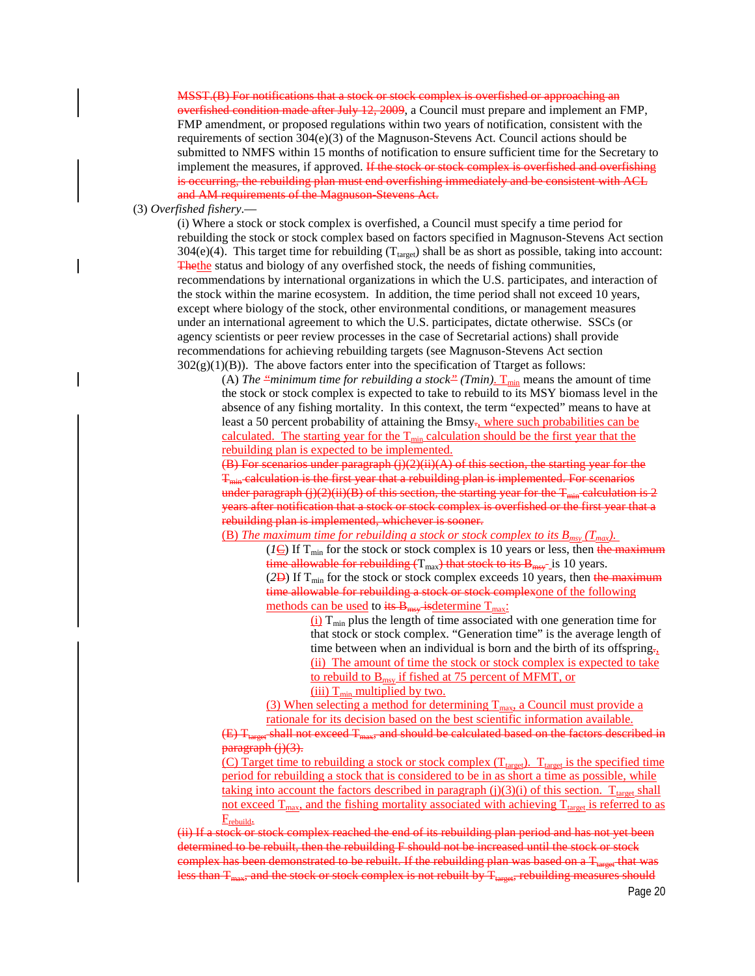MSST.(B) For notifications that a stock or stock complex is overfished or approaching an overfished condition made after July 12, 2009, a Council must prepare and implement an FMP, FMP amendment, or proposed regulations within two years of notification, consistent with the requirements of section  $304(e)(3)$  of the Magnuson-Stevens Act. Council actions should be submitted to NMFS within 15 months of notification to ensure sufficient time for the Secretary to implement the measures, if approved. If the stock or stock complex is overfished and overfishing is occurring, the rebuilding plan must end overfishing immediately and be consistent with ACL and AM requirements of the Magnuson Stevens Act.

(3) *Overfished fishery*.—

(i) Where a stock or stock complex is overfished, a Council must specify a time period for rebuilding the stock or stock complex based on factors specified in Magnuson-Stevens Act section  $304(e)(4)$ . This target time for rebuilding (T<sub>target</sub>) shall be as short as possible, taking into account: Thethe status and biology of any overfished stock, the needs of fishing communities, recommendations by international organizations in which the U.S. participates, and interaction of the stock within the marine ecosystem. In addition, the time period shall not exceed 10 years, except where biology of the stock, other environmental conditions, or management measures under an international agreement to which the U.S. participates, dictate otherwise. SSCs (or agency scientists or peer review processes in the case of Secretarial actions) shall provide recommendations for achieving rebuilding targets (see Magnuson-Stevens Act section  $302(g)(1)(B)$ ). The above factors enter into the specification of Ttarget as follows:

(A) *The "minimum time for rebuilding a stock" (Tmin)*.  $T_{min}$  means the amount of time the stock or stock complex is expected to take to rebuild to its MSY biomass level in the absence of any fishing mortality. In this context, the term "expected" means to have at least a 50 percent probability of attaining the Bmsy<sub>r</sub>, where such probabilities can be calculated. The starting year for the  $T_{min}$  calculation should be the first year that the rebuilding plan is expected to be implemented.

 $(B)$  For scenarios under paragraph  $(j)(2)(ii)(A)$  of this section, the starting year for the  $T<sub>min</sub>$  calculation is the first year that a rebuilding plan is implemented. For scenarios under paragraph (j)(2)(ii)(B) of this section, the starting year for the  $T_{min}$  calculation is 2 years after notification that a stock or stock complex is overfished or the first year that a rebuilding plan is implemented, whichever is sooner.

(B) *The maximum time for rebuilding a stock or stock complex to its Bmsy (Tmax).*

( $I\overline{\mathbf{C}}$ ) If T<sub>min</sub> for the stock or stock complex is 10 years or less, then the maximum time allowable for rebuilding  $(T_{max})$  that stock to its  $B_{max}$ -is 10 years. ( $2\overline{D}$ ) If T<sub>min</sub> for the stock or stock complex exceeds 10 years, then the maximum

time allowable for rebuilding a stock or stock complexone of the following methods can be used to its  $B_{\text{msg}}$  is determine  $T_{\text{max}}$ :

 $(i)$  T<sub>min</sub> plus the length of time associated with one generation time for that stock or stock complex. "Generation time" is the average length of time between when an individual is born and the birth of its offspring. (ii) The amount of time the stock or stock complex is expected to take to rebuild to  $B_{msy}$  if fished at 75 percent of MFMT, or (iii)  $T_{\text{min}}$  multiplied by two.

(3) When selecting a method for determining  $T_{\text{max}}$ , a Council must provide a rationale for its decision based on the best scientific information available.

<sub>et</sub> shall not exceed T<sub>max</sub>, and should be calculated based on the factors described in  $\frac{\text{parameter}}{\text{phi}}$  (i)(3).

(C) Target time to rebuilding a stock or stock complex  $(T_{\text{target}})$ .  $T_{\text{target}}$  is the specified time period for rebuilding a stock that is considered to be in as short a time as possible, while taking into account the factors described in paragraph (j)(3)(i) of this section.  $T_{\text{target}}$  shall not exceed  $T_{\text{max}}$ , and the fishing mortality associated with achieving  $T_{\text{target}}$  is referred to as Frebuild.

(ii) If a stock or stock complex reached the end of its rebuilding plan period and has not yet been determined to be rebuilt, then the rebuilding F should not be increased until the stock or stock complex has been demonstrated to be rebuilt. If the rebuilding plan was based on a T<sub>target</sub> that was ) than T<sub>max</sub>, and the stock or stock complex is not rebuilt by T<sub>target</sub>, rebuilding measures should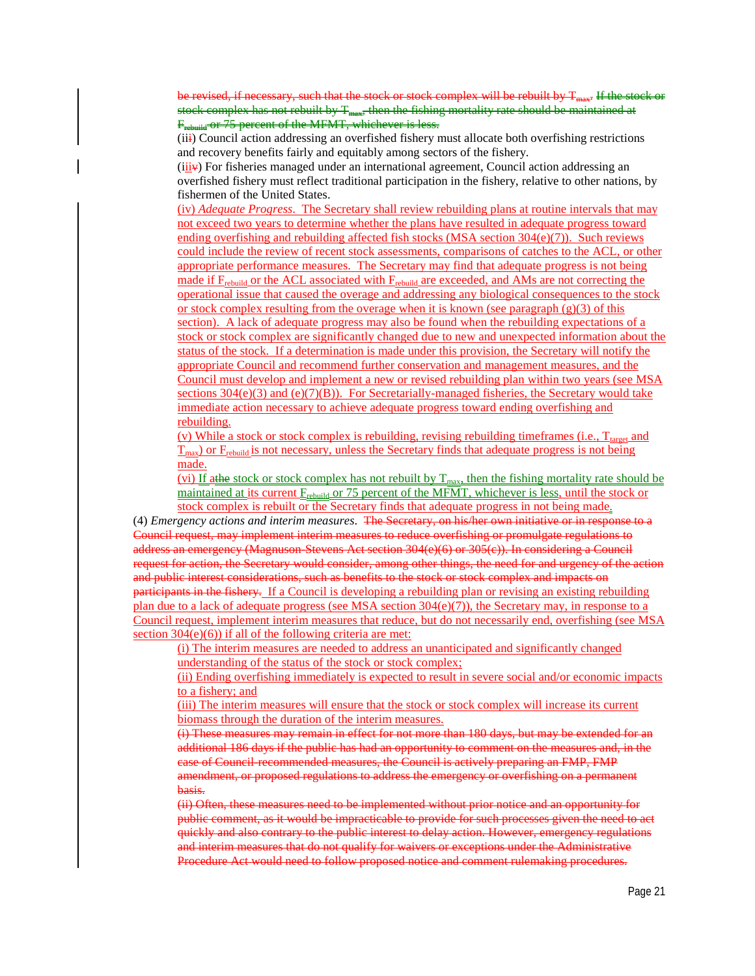be revised, if necessary, such that the stock or stock complex will be rebuilt by T<sub>max</sub>. If the stock or stock complex has not rebuilt by  $T_{\text{max}}$ , then the fishing mortality rate should be maintained at F<sub>rebuild</sub> or 75 percent of the MFMT, whichever is less.

(iii) Council action addressing an overfished fishery must allocate both overfishing restrictions and recovery benefits fairly and equitably among sectors of the fishery.

 $(iii\ddot{\bm{v}})$  For fisheries managed under an international agreement, Council action addressing an overfished fishery must reflect traditional participation in the fishery, relative to other nations, by fishermen of the United States.

(iv) *Adequate Progress*. The Secretary shall review rebuilding plans at routine intervals that may not exceed two years to determine whether the plans have resulted in adequate progress toward ending overfishing and rebuilding affected fish stocks (MSA section  $304(e)(7)$ ). Such reviews could include the review of recent stock assessments, comparisons of catches to the ACL, or other appropriate performance measures. The Secretary may find that adequate progress is not being made if F<sub>rebuild</sub> or the ACL associated with F<sub>rebuild</sub> are exceeded, and AMs are not correcting the operational issue that caused the overage and addressing any biological consequences to the stock or stock complex resulting from the overage when it is known (see paragraph  $(g)(3)$  of this section). A lack of adequate progress may also be found when the rebuilding expectations of a stock or stock complex are significantly changed due to new and unexpected information about the status of the stock. If a determination is made under this provision, the Secretary will notify the appropriate Council and recommend further conservation and management measures, and the Council must develop and implement a new or revised rebuilding plan within two years (see MSA sections  $304(e)(3)$  and  $(e)(7)(B)$ ). For Secretarially-managed fisheries, the Secretary would take immediate action necessary to achieve adequate progress toward ending overfishing and rebuilding.

(v) While a stock or stock complex is rebuilding, revising rebuilding timeframes (i.e.,  $T_{\text{target}}$  and  $T<sub>max</sub>$ ) or  $F<sub>rebuild</sub>$  is not necessary, unless the Secretary finds that adequate progress is not being made.

(vi) If athe stock or stock complex has not rebuilt by  $T_{\text{max}}$ , then the fishing mortality rate should be maintained at its current  $E_{\text{rebuild}}$  or 75 percent of the MFMT, whichever is less, until the stock or stock complex is rebuilt or the Secretary finds that adequate progress in not being made.

(4) *Emergency actions and interim measures*. The Secretary, on his/her own initiative or in response to a Council request, may implement interim measures to reduce overfishing or promulgate regulations to address an emergency (Magnuson-Stevens Act section 304(e)(6) or 305(c)). In considering a Council request for action, the Secretary would consider, among other things, the need for and urgency of the action and public interest considerations, such as benefits to the stock or stock complex and impacts on participants in the fishery. If a Council is developing a rebuilding plan or revising an existing rebuilding plan due to a lack of adequate progress (see MSA section  $304(e)(7)$ ), the Secretary may, in response to a Council request, implement interim measures that reduce, but do not necessarily end, overfishing (see MSA section 304(e)(6)) if all of the following criteria are met:

(i) The interim measures are needed to address an unanticipated and significantly changed understanding of the status of the stock or stock complex;

(ii) Ending overfishing immediately is expected to result in severe social and/or economic impacts to a fishery; and

(iii) The interim measures will ensure that the stock or stock complex will increase its current biomass through the duration of the interim measures.

(i) These measures may remain in effect for not more than 180 days, but may be extended for an additional 186 days if the public has had an opportunity to comment on the measures and, in the case of Council-recommended measures, the Council is actively preparing an FMP, FMP amendment, or proposed regulations to address the emergency or overfishing on a permanent basis.

(ii) Often, these measures need to be implemented without prior notice and an opportunity for public comment, as it would be impracticable to provide for such processes given the need to act quickly and also contrary to the public interest to delay action. However, emergency regulations and interim measures that do not qualify for waivers or exceptions under the Administrative Procedure Act would need to follow proposed notice and comment rulemaking procedures.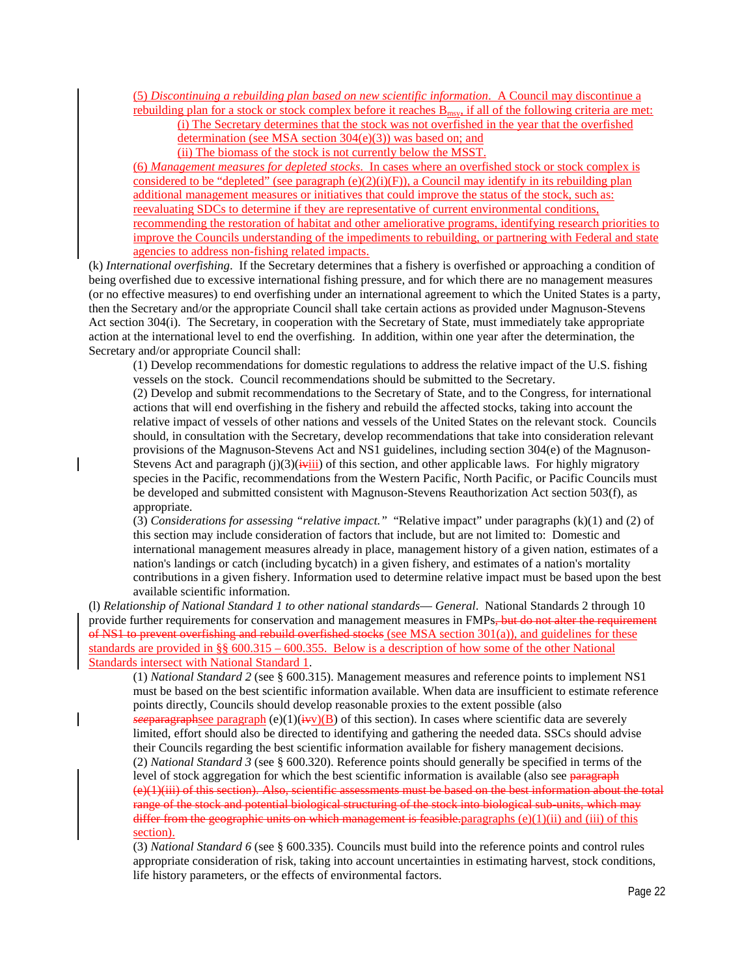(5) *Discontinuing a rebuilding plan based on new scientific information*. A Council may discontinue a rebuilding plan for a stock or stock complex before it reaches Bmsy, if all of the following criteria are met:

(i) The Secretary determines that the stock was not overfished in the year that the overfished determination (see MSA section 304(e)(3)) was based on; and

(ii) The biomass of the stock is not currently below the MSST.

(6) *Management measures for depleted stocks*. In cases where an overfished stock or stock complex is considered to be "depleted" (see paragraph  $(e)(2)(i)(F)$ ), a Council may identify in its rebuilding plan additional management measures or initiatives that could improve the status of the stock, such as: reevaluating SDCs to determine if they are representative of current environmental conditions, recommending the restoration of habitat and other ameliorative programs, identifying research priorities to improve the Councils understanding of the impediments to rebuilding, or partnering with Federal and state agencies to address non-fishing related impacts.

(k) *International overfishing*. If the Secretary determines that a fishery is overfished or approaching a condition of being overfished due to excessive international fishing pressure, and for which there are no management measures (or no effective measures) to end overfishing under an international agreement to which the United States is a party, then the Secretary and/or the appropriate Council shall take certain actions as provided under Magnuson-Stevens Act section 304(i). The Secretary, in cooperation with the Secretary of State, must immediately take appropriate action at the international level to end the overfishing. In addition, within one year after the determination, the Secretary and/or appropriate Council shall:

(1) Develop recommendations for domestic regulations to address the relative impact of the U.S. fishing vessels on the stock. Council recommendations should be submitted to the Secretary.

(2) Develop and submit recommendations to the Secretary of State, and to the Congress, for international actions that will end overfishing in the fishery and rebuild the affected stocks, taking into account the relative impact of vessels of other nations and vessels of the United States on the relevant stock. Councils should, in consultation with the Secretary, develop recommendations that take into consideration relevant provisions of the Magnuson-Stevens Act and NS1 guidelines, including section 304(e) of the Magnuson-Stevens Act and paragraph  $(j)(3)(i+i)$  of this section, and other applicable laws. For highly migratory species in the Pacific, recommendations from the Western Pacific, North Pacific, or Pacific Councils must be developed and submitted consistent with Magnuson-Stevens Reauthorization Act section 503(f), as appropriate.

(3) *Considerations for assessing "relative impact."* "Relative impact" under paragraphs (k)(1) and (2) of this section may include consideration of factors that include, but are not limited to: Domestic and international management measures already in place, management history of a given nation, estimates of a nation's landings or catch (including bycatch) in a given fishery, and estimates of a nation's mortality contributions in a given fishery. Information used to determine relative impact must be based upon the best available scientific information.

(l) *Relationship of National Standard 1 to other national standards*— *General*.National Standards 2 through 10 provide further requirements for conservation and management measures in FMPs, but do not alter the requirement of NS1 to prevent overfishing and rebuild overfished stocks (see MSA section 301(a)), and guidelines for these standards are provided in §§ 600.315 – 600.355. Below is a description of how some of the other National Standards intersect with National Standard 1.

(1) *National Standard 2* (see § 600.315). Management measures and reference points to implement NS1 must be based on the best scientific information available. When data are insufficient to estimate reference points directly, Councils should develop reasonable proxies to the extent possible (also *see* paragraphsee paragraph (e)(1)( $\angle$ ivv)(B) of this section). In cases where scientific data are severely limited, effort should also be directed to identifying and gathering the needed data. SSCs should advise their Councils regarding the best scientific information available for fishery management decisions. (2) *National Standard 3* (see § 600.320). Reference points should generally be specified in terms of the level of stock aggregation for which the best scientific information is available (also see paragraph (e)(1)(iii) of this section). Also, scientific assessments must be based on the best information about the total range of the stock and potential biological structuring of the stock into biological sub-units, which may differ from the geographic units on which management is feasible.paragraphs (e)(1)(ii) and (iii) of this section).

(3) *National Standard 6* (see § 600.335). Councils must build into the reference points and control rules appropriate consideration of risk, taking into account uncertainties in estimating harvest, stock conditions, life history parameters, or the effects of environmental factors.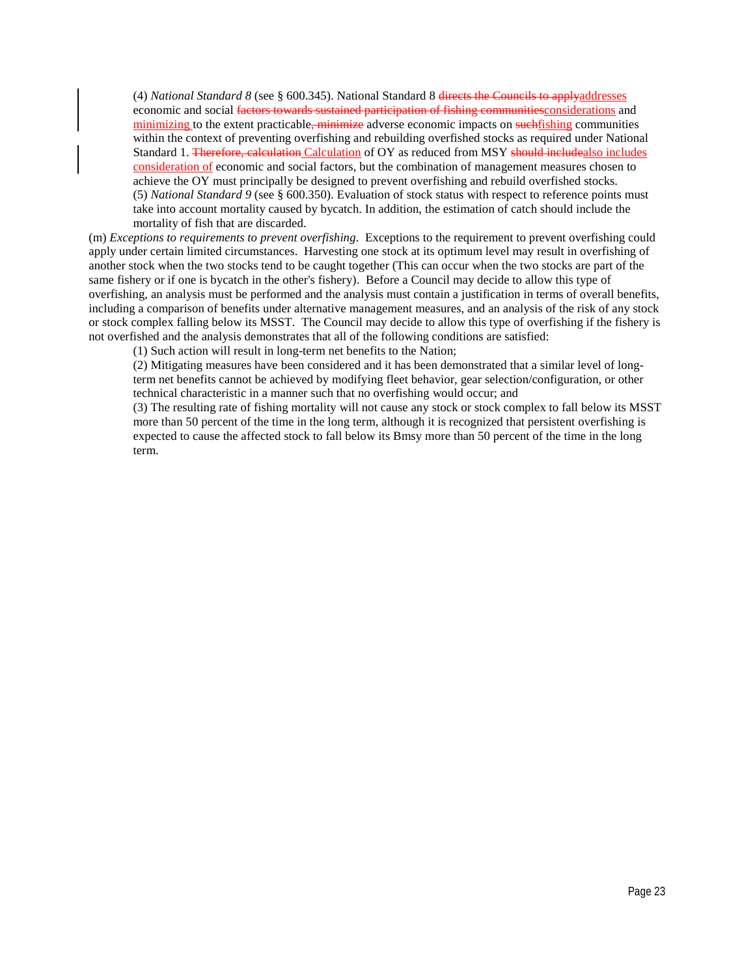(4) *National Standard 8* (see § 600.345). National Standard 8 directs the Councils to applyaddresses economic and social factors towards sustained participation of fishing communities considerations and minimizing to the extent practicable, minimize adverse economic impacts on suchfishing communities within the context of preventing overfishing and rebuilding overfished stocks as required under National Standard 1. Therefore, calculation Calculation of OY as reduced from MSY should includealso includes consideration of economic and social factors, but the combination of management measures chosen to achieve the OY must principally be designed to prevent overfishing and rebuild overfished stocks. (5) *National Standard 9* (see § 600.350). Evaluation of stock status with respect to reference points must take into account mortality caused by bycatch. In addition, the estimation of catch should include the mortality of fish that are discarded.

(m) *Exceptions to requirements to prevent overfishing*. Exceptions to the requirement to prevent overfishing could apply under certain limited circumstances. Harvesting one stock at its optimum level may result in overfishing of another stock when the two stocks tend to be caught together (This can occur when the two stocks are part of the same fishery or if one is bycatch in the other's fishery). Before a Council may decide to allow this type of overfishing, an analysis must be performed and the analysis must contain a justification in terms of overall benefits, including a comparison of benefits under alternative management measures, and an analysis of the risk of any stock or stock complex falling below its MSST. The Council may decide to allow this type of overfishing if the fishery is not overfished and the analysis demonstrates that all of the following conditions are satisfied:

(1) Such action will result in long-term net benefits to the Nation;

(2) Mitigating measures have been considered and it has been demonstrated that a similar level of longterm net benefits cannot be achieved by modifying fleet behavior, gear selection/configuration, or other technical characteristic in a manner such that no overfishing would occur; and

(3) The resulting rate of fishing mortality will not cause any stock or stock complex to fall below its MSST more than 50 percent of the time in the long term, although it is recognized that persistent overfishing is expected to cause the affected stock to fall below its Bmsy more than 50 percent of the time in the long term.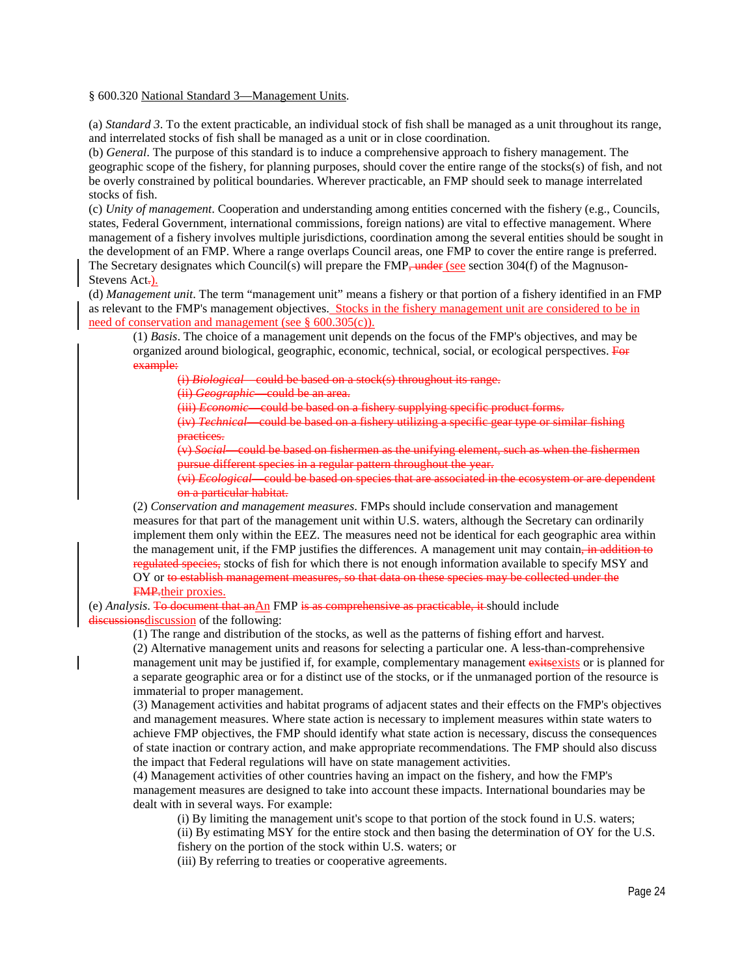#### § 600.320 National Standard 3—Management Units.

(a) *Standard 3*. To the extent practicable, an individual stock of fish shall be managed as a unit throughout its range, and interrelated stocks of fish shall be managed as a unit or in close coordination.

(b) *General*. The purpose of this standard is to induce a comprehensive approach to fishery management. The geographic scope of the fishery, for planning purposes, should cover the entire range of the stocks(s) of fish, and not be overly constrained by political boundaries. Wherever practicable, an FMP should seek to manage interrelated stocks of fish.

(c) *Unity of management*. Cooperation and understanding among entities concerned with the fishery (e.g., Councils, states, Federal Government, international commissions, foreign nations) are vital to effective management. Where management of a fishery involves multiple jurisdictions, coordination among the several entities should be sought in the development of an FMP. Where a range overlaps Council areas, one FMP to cover the entire range is preferred. The Secretary designates which Council(s) will prepare the  $FMP$  under (see section 304(f) of the Magnuson-Stevens Act-).

(d) *Management unit*. The term "management unit" means a fishery or that portion of a fishery identified in an FMP as relevant to the FMP's management objectives. Stocks in the fishery management unit are considered to be in need of conservation and management (see § 600.305(c)).

(1) *Basis*. The choice of a management unit depends on the focus of the FMP's objectives, and may be organized around biological, geographic, economic, technical, social, or ecological perspectives. For example:

(i) *Biological*—could be based on a stock(s) throughout its range.

(ii) *Geographic*—could be an area.

(iii) *Economic*—could be based on a fishery supplying specific product forms.

(iv) *Technical*—could be based on a fishery utilizing a specific gear type or similar fishing practices.

(v) *Social*—could be based on fishermen as the unifying element, such as when the fishermen pursue different species in a regular pattern throughout the year.

(vi) *Ecological*—could be based on species that are associated in the ecosystem or are dependent on a particular habitat.

(2) *Conservation and management measures*. FMPs should include conservation and management measures for that part of the management unit within U.S. waters, although the Secretary can ordinarily implement them only within the EEZ. The measures need not be identical for each geographic area within the management unit, if the FMP justifies the differences. A management unit may contain, in addition to regulated species, stocks of fish for which there is not enough information available to specify MSY and OY or to establish management measures, so that data on these species may be collected under the FMP.their proxies.

(e) *Analysis*. To document that an An FMP is as comprehensive as practicable, it should include discussions discussion of the following:

(1) The range and distribution of the stocks, as well as the patterns of fishing effort and harvest.

(2) Alternative management units and reasons for selecting a particular one. A less-than-comprehensive management unit may be justified if, for example, complementary management exits exits or is planned for a separate geographic area or for a distinct use of the stocks, or if the unmanaged portion of the resource is immaterial to proper management.

(3) Management activities and habitat programs of adjacent states and their effects on the FMP's objectives and management measures. Where state action is necessary to implement measures within state waters to achieve FMP objectives, the FMP should identify what state action is necessary, discuss the consequences of state inaction or contrary action, and make appropriate recommendations. The FMP should also discuss the impact that Federal regulations will have on state management activities.

(4) Management activities of other countries having an impact on the fishery, and how the FMP's management measures are designed to take into account these impacts. International boundaries may be dealt with in several ways. For example:

(i) By limiting the management unit's scope to that portion of the stock found in U.S. waters;

(ii) By estimating MSY for the entire stock and then basing the determination of OY for the U.S. fishery on the portion of the stock within U.S. waters; or

(iii) By referring to treaties or cooperative agreements.